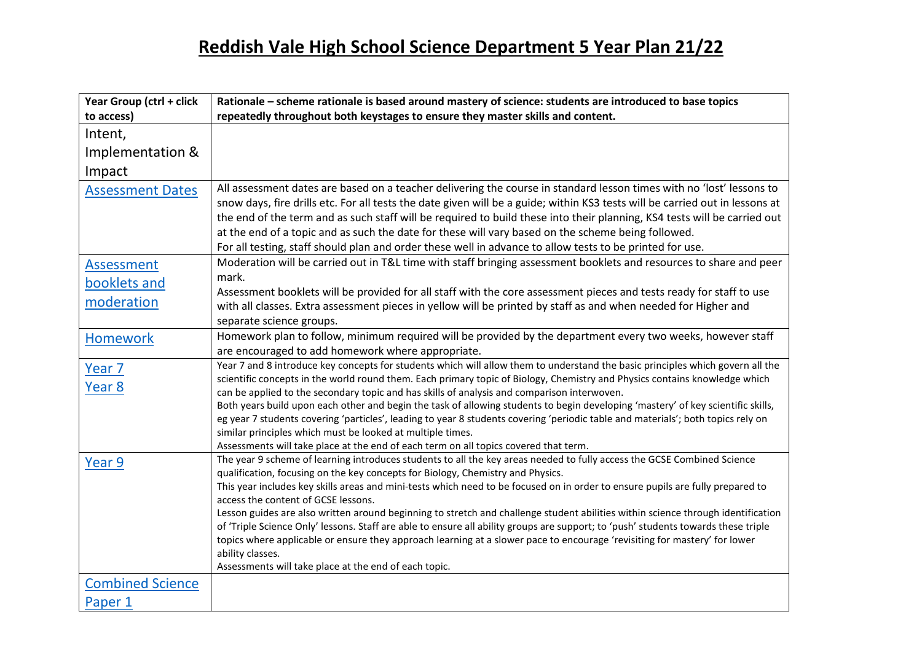| Year Group (ctrl + click    | Rationale - scheme rationale is based around mastery of science: students are introduced to base topics                                                                                                                                                                                                                                                                                                                                                                                         |
|-----------------------------|-------------------------------------------------------------------------------------------------------------------------------------------------------------------------------------------------------------------------------------------------------------------------------------------------------------------------------------------------------------------------------------------------------------------------------------------------------------------------------------------------|
| to access)                  | repeatedly throughout both keystages to ensure they master skills and content.                                                                                                                                                                                                                                                                                                                                                                                                                  |
| Intent,                     |                                                                                                                                                                                                                                                                                                                                                                                                                                                                                                 |
| Implementation &            |                                                                                                                                                                                                                                                                                                                                                                                                                                                                                                 |
| Impact                      |                                                                                                                                                                                                                                                                                                                                                                                                                                                                                                 |
| <b>Assessment Dates</b>     | All assessment dates are based on a teacher delivering the course in standard lesson times with no 'lost' lessons to<br>snow days, fire drills etc. For all tests the date given will be a guide; within KS3 tests will be carried out in lessons at                                                                                                                                                                                                                                            |
|                             | the end of the term and as such staff will be required to build these into their planning, KS4 tests will be carried out                                                                                                                                                                                                                                                                                                                                                                        |
|                             | at the end of a topic and as such the date for these will vary based on the scheme being followed.                                                                                                                                                                                                                                                                                                                                                                                              |
|                             | For all testing, staff should plan and order these well in advance to allow tests to be printed for use.                                                                                                                                                                                                                                                                                                                                                                                        |
| <b>Assessment</b>           | Moderation will be carried out in T&L time with staff bringing assessment booklets and resources to share and peer                                                                                                                                                                                                                                                                                                                                                                              |
| booklets and                | mark.                                                                                                                                                                                                                                                                                                                                                                                                                                                                                           |
| moderation                  | Assessment booklets will be provided for all staff with the core assessment pieces and tests ready for staff to use                                                                                                                                                                                                                                                                                                                                                                             |
|                             | with all classes. Extra assessment pieces in yellow will be printed by staff as and when needed for Higher and                                                                                                                                                                                                                                                                                                                                                                                  |
|                             | separate science groups.                                                                                                                                                                                                                                                                                                                                                                                                                                                                        |
| <b>Homework</b>             | Homework plan to follow, minimum required will be provided by the department every two weeks, however staff<br>are encouraged to add homework where appropriate.                                                                                                                                                                                                                                                                                                                                |
| Year <sub>7</sub><br>Year 8 | Year 7 and 8 introduce key concepts for students which will allow them to understand the basic principles which govern all the<br>scientific concepts in the world round them. Each primary topic of Biology, Chemistry and Physics contains knowledge which<br>can be applied to the secondary topic and has skills of analysis and comparison interwoven.<br>Both years build upon each other and begin the task of allowing students to begin developing 'mastery' of key scientific skills, |
|                             | eg year 7 students covering 'particles', leading to year 8 students covering 'periodic table and materials'; both topics rely on<br>similar principles which must be looked at multiple times.                                                                                                                                                                                                                                                                                                  |
|                             | Assessments will take place at the end of each term on all topics covered that term.                                                                                                                                                                                                                                                                                                                                                                                                            |
| Year 9                      | The year 9 scheme of learning introduces students to all the key areas needed to fully access the GCSE Combined Science<br>qualification, focusing on the key concepts for Biology, Chemistry and Physics.                                                                                                                                                                                                                                                                                      |
|                             | This year includes key skills areas and mini-tests which need to be focused on in order to ensure pupils are fully prepared to<br>access the content of GCSE lessons.                                                                                                                                                                                                                                                                                                                           |
|                             | Lesson guides are also written around beginning to stretch and challenge student abilities within science through identification                                                                                                                                                                                                                                                                                                                                                                |
|                             | of 'Triple Science Only' lessons. Staff are able to ensure all ability groups are support; to 'push' students towards these triple                                                                                                                                                                                                                                                                                                                                                              |
|                             | topics where applicable or ensure they approach learning at a slower pace to encourage 'revisiting for mastery' for lower                                                                                                                                                                                                                                                                                                                                                                       |
|                             | ability classes.                                                                                                                                                                                                                                                                                                                                                                                                                                                                                |
|                             | Assessments will take place at the end of each topic.                                                                                                                                                                                                                                                                                                                                                                                                                                           |
| <b>Combined Science</b>     |                                                                                                                                                                                                                                                                                                                                                                                                                                                                                                 |
| Paper 1                     |                                                                                                                                                                                                                                                                                                                                                                                                                                                                                                 |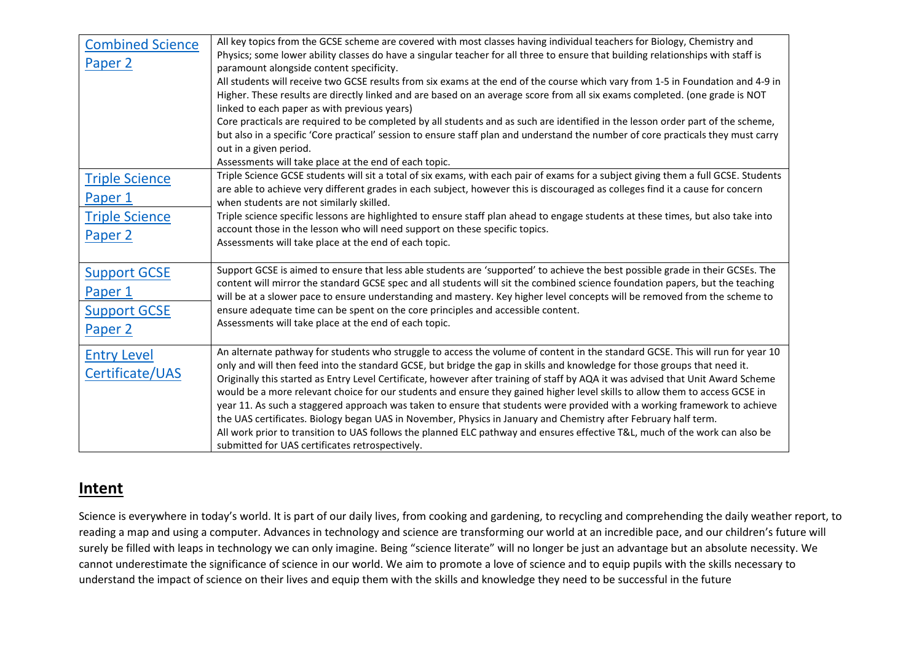| <b>Combined Science</b><br>Paper 2                                   | All key topics from the GCSE scheme are covered with most classes having individual teachers for Biology, Chemistry and<br>Physics; some lower ability classes do have a singular teacher for all three to ensure that building relationships with staff is<br>paramount alongside content specificity.<br>All students will receive two GCSE results from six exams at the end of the course which vary from 1-5 in Foundation and 4-9 in<br>Higher. These results are directly linked and are based on an average score from all six exams completed. (one grade is NOT<br>linked to each paper as with previous years)<br>Core practicals are required to be completed by all students and as such are identified in the lesson order part of the scheme,<br>but also in a specific 'Core practical' session to ensure staff plan and understand the number of core practicals they must carry<br>out in a given period.<br>Assessments will take place at the end of each topic. |
|----------------------------------------------------------------------|--------------------------------------------------------------------------------------------------------------------------------------------------------------------------------------------------------------------------------------------------------------------------------------------------------------------------------------------------------------------------------------------------------------------------------------------------------------------------------------------------------------------------------------------------------------------------------------------------------------------------------------------------------------------------------------------------------------------------------------------------------------------------------------------------------------------------------------------------------------------------------------------------------------------------------------------------------------------------------------|
| <b>Triple Science</b><br>Paper 1<br><b>Triple Science</b><br>Paper 2 | Triple Science GCSE students will sit a total of six exams, with each pair of exams for a subject giving them a full GCSE. Students<br>are able to achieve very different grades in each subject, however this is discouraged as colleges find it a cause for concern<br>when students are not similarly skilled.<br>Triple science specific lessons are highlighted to ensure staff plan ahead to engage students at these times, but also take into<br>account those in the lesson who will need support on these specific topics.<br>Assessments will take place at the end of each topic.                                                                                                                                                                                                                                                                                                                                                                                        |
| <b>Support GCSE</b><br>Paper 1<br><b>Support GCSE</b><br>Paper 2     | Support GCSE is aimed to ensure that less able students are 'supported' to achieve the best possible grade in their GCSEs. The<br>content will mirror the standard GCSE spec and all students will sit the combined science foundation papers, but the teaching<br>will be at a slower pace to ensure understanding and mastery. Key higher level concepts will be removed from the scheme to<br>ensure adequate time can be spent on the core principles and accessible content.<br>Assessments will take place at the end of each topic.                                                                                                                                                                                                                                                                                                                                                                                                                                           |
| <b>Entry Level</b><br>Certificate/UAS                                | An alternate pathway for students who struggle to access the volume of content in the standard GCSE. This will run for year 10<br>only and will then feed into the standard GCSE, but bridge the gap in skills and knowledge for those groups that need it.<br>Originally this started as Entry Level Certificate, however after training of staff by AQA it was advised that Unit Award Scheme<br>would be a more relevant choice for our students and ensure they gained higher level skills to allow them to access GCSE in<br>year 11. As such a staggered approach was taken to ensure that students were provided with a working framework to achieve<br>the UAS certificates. Biology began UAS in November, Physics in January and Chemistry after February half term.<br>All work prior to transition to UAS follows the planned ELC pathway and ensures effective T&L, much of the work can also be<br>submitted for UAS certificates retrospectively.                     |

#### **Intent**

Science is everywhere in today's world. It is part of our daily lives, from cooking and gardening, to recycling and comprehending the daily weather report, to reading a map and using a computer. Advances in technology and science are transforming our world at an incredible pace, and our children's future will surely be filled with leaps in technology we can only imagine. Being "science literate" will no longer be just an advantage but an absolute necessity. We cannot underestimate the significance of science in our world. We aim to promote a love of science and to equip pupils with the skills necessary to understand the impact of science on their lives and equip them with the skills and knowledge they need to be successful in the future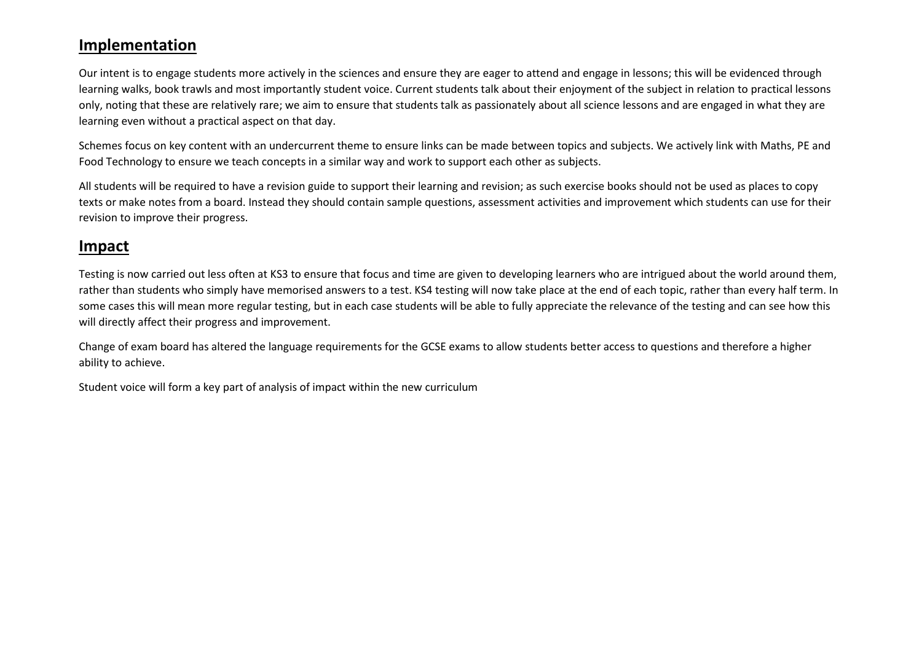#### **Implementation**

Our intent is to engage students more actively in the sciences and ensure they are eager to attend and engage in lessons; this will be evidenced through learning walks, book trawls and most importantly student voice. Current students talk about their enjoyment of the subject in relation to practical lessons only, noting that these are relatively rare; we aim to ensure that students talk as passionately about all science lessons and are engaged in what they are learning even without a practical aspect on that day.

Schemes focus on key content with an undercurrent theme to ensure links can be made between topics and subjects. We actively link with Maths, PE and Food Technology to ensure we teach concepts in a similar way and work to support each other as subjects.

All students will be required to have a revision guide to support their learning and revision; as such exercise books should not be used as places to copy texts or make notes from a board. Instead they should contain sample questions, assessment activities and improvement which students can use for their revision to improve their progress.

#### **Impact**

Testing is now carried out less often at KS3 to ensure that focus and time are given to developing learners who are intrigued about the world around them, rather than students who simply have memorised answers to a test. KS4 testing will now take place at the end of each topic, rather than every half term. In some cases this will mean more regular testing, but in each case students will be able to fully appreciate the relevance of the testing and can see how this will directly affect their progress and improvement.

Change of exam board has altered the language requirements for the GCSE exams to allow students better access to questions and therefore a higher ability to achieve.

Student voice will form a key part of analysis of impact within the new curriculum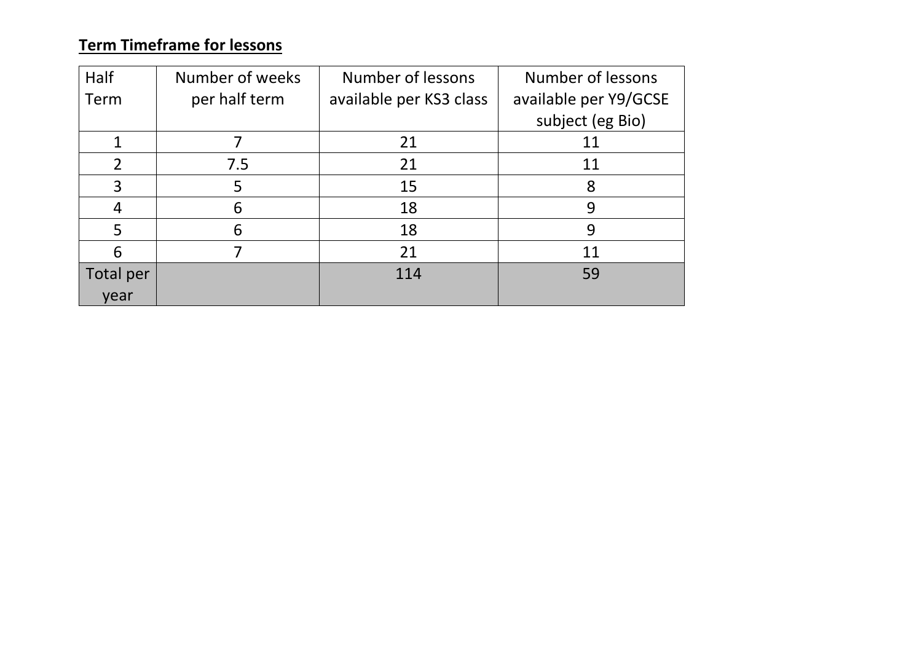# **Term Timeframe for lessons**

| Half           | Number of weeks | Number of lessons       | Number of lessons     |
|----------------|-----------------|-------------------------|-----------------------|
| Term           | per half term   | available per KS3 class | available per Y9/GCSE |
|                |                 |                         | subject (eg Bio)      |
|                |                 | 21                      | 11                    |
| $\overline{2}$ | 7.5             | 21                      | 11                    |
| 3              | 5               | 15                      | 8                     |
| 4              | 6               | 18                      | 9                     |
| 5              | 6               | 18                      | 9                     |
| 6              |                 | 21                      | 11                    |
| Total per      |                 | 114                     | 59                    |
| year           |                 |                         |                       |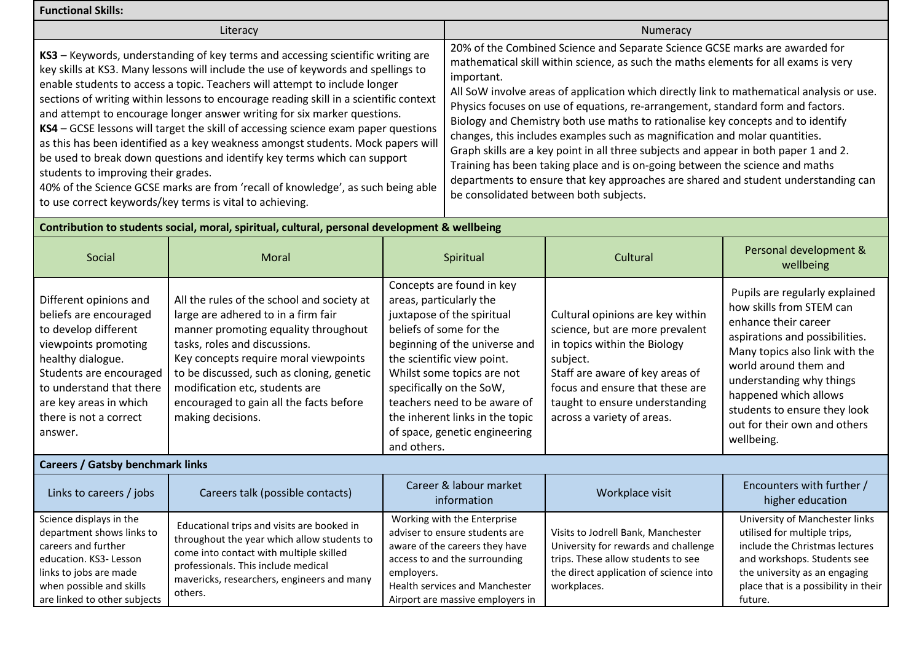| <b>Functional Skills:</b>                                                                                                                                                                                                                                                                                                                                                                                                                                                                                                                                                                                                                                                                                                                                                                                                                                            |                                                                                                                                                                                                                                                                                                                                                    |                                                                                                                                                                                                                                                                                                                                                           |                                                                                                                                                                                                                                                                                                                                                                                                                                                                                                                                                                                                                                                                                                                                                                                                                               |                                                                                                                                                                                                                                                       |                                                                                                                                                                                                                                                                                                                    |
|----------------------------------------------------------------------------------------------------------------------------------------------------------------------------------------------------------------------------------------------------------------------------------------------------------------------------------------------------------------------------------------------------------------------------------------------------------------------------------------------------------------------------------------------------------------------------------------------------------------------------------------------------------------------------------------------------------------------------------------------------------------------------------------------------------------------------------------------------------------------|----------------------------------------------------------------------------------------------------------------------------------------------------------------------------------------------------------------------------------------------------------------------------------------------------------------------------------------------------|-----------------------------------------------------------------------------------------------------------------------------------------------------------------------------------------------------------------------------------------------------------------------------------------------------------------------------------------------------------|-------------------------------------------------------------------------------------------------------------------------------------------------------------------------------------------------------------------------------------------------------------------------------------------------------------------------------------------------------------------------------------------------------------------------------------------------------------------------------------------------------------------------------------------------------------------------------------------------------------------------------------------------------------------------------------------------------------------------------------------------------------------------------------------------------------------------------|-------------------------------------------------------------------------------------------------------------------------------------------------------------------------------------------------------------------------------------------------------|--------------------------------------------------------------------------------------------------------------------------------------------------------------------------------------------------------------------------------------------------------------------------------------------------------------------|
| Literacy                                                                                                                                                                                                                                                                                                                                                                                                                                                                                                                                                                                                                                                                                                                                                                                                                                                             |                                                                                                                                                                                                                                                                                                                                                    |                                                                                                                                                                                                                                                                                                                                                           |                                                                                                                                                                                                                                                                                                                                                                                                                                                                                                                                                                                                                                                                                                                                                                                                                               | Numeracy                                                                                                                                                                                                                                              |                                                                                                                                                                                                                                                                                                                    |
| KS3 - Keywords, understanding of key terms and accessing scientific writing are<br>key skills at KS3. Many lessons will include the use of keywords and spellings to<br>enable students to access a topic. Teachers will attempt to include longer<br>sections of writing within lessons to encourage reading skill in a scientific context<br>and attempt to encourage longer answer writing for six marker questions.<br>KS4 - GCSE lessons will target the skill of accessing science exam paper questions<br>as this has been identified as a key weakness amongst students. Mock papers will<br>be used to break down questions and identify key terms which can support<br>students to improving their grades.<br>40% of the Science GCSE marks are from 'recall of knowledge', as such being able<br>to use correct keywords/key terms is vital to achieving. |                                                                                                                                                                                                                                                                                                                                                    | important.                                                                                                                                                                                                                                                                                                                                                | 20% of the Combined Science and Separate Science GCSE marks are awarded for<br>mathematical skill within science, as such the maths elements for all exams is very<br>All SoW involve areas of application which directly link to mathematical analysis or use.<br>Physics focuses on use of equations, re-arrangement, standard form and factors.<br>Biology and Chemistry both use maths to rationalise key concepts and to identify<br>changes, this includes examples such as magnification and molar quantities.<br>Graph skills are a key point in all three subjects and appear in both paper 1 and 2.<br>Training has been taking place and is on-going between the science and maths<br>departments to ensure that key approaches are shared and student understanding can<br>be consolidated between both subjects. |                                                                                                                                                                                                                                                       |                                                                                                                                                                                                                                                                                                                    |
| Contribution to students social, moral, spiritual, cultural, personal development & wellbeing                                                                                                                                                                                                                                                                                                                                                                                                                                                                                                                                                                                                                                                                                                                                                                        |                                                                                                                                                                                                                                                                                                                                                    |                                                                                                                                                                                                                                                                                                                                                           |                                                                                                                                                                                                                                                                                                                                                                                                                                                                                                                                                                                                                                                                                                                                                                                                                               |                                                                                                                                                                                                                                                       |                                                                                                                                                                                                                                                                                                                    |
| Social                                                                                                                                                                                                                                                                                                                                                                                                                                                                                                                                                                                                                                                                                                                                                                                                                                                               | Moral                                                                                                                                                                                                                                                                                                                                              | Spiritual                                                                                                                                                                                                                                                                                                                                                 |                                                                                                                                                                                                                                                                                                                                                                                                                                                                                                                                                                                                                                                                                                                                                                                                                               | Cultural                                                                                                                                                                                                                                              | Personal development &<br>wellbeing                                                                                                                                                                                                                                                                                |
| Different opinions and<br>beliefs are encouraged<br>to develop different<br>viewpoints promoting<br>healthy dialogue.<br>Students are encouraged<br>to understand that there<br>are key areas in which<br>there is not a correct<br>answer.                                                                                                                                                                                                                                                                                                                                                                                                                                                                                                                                                                                                                          | All the rules of the school and society at<br>large are adhered to in a firm fair<br>manner promoting equality throughout<br>tasks, roles and discussions.<br>Key concepts require moral viewpoints<br>to be discussed, such as cloning, genetic<br>modification etc, students are<br>encouraged to gain all the facts before<br>making decisions. | Concepts are found in key<br>areas, particularly the<br>juxtapose of the spiritual<br>beliefs of some for the<br>beginning of the universe and<br>the scientific view point.<br>Whilst some topics are not<br>specifically on the SoW,<br>teachers need to be aware of<br>the inherent links in the topic<br>of space, genetic engineering<br>and others. |                                                                                                                                                                                                                                                                                                                                                                                                                                                                                                                                                                                                                                                                                                                                                                                                                               | Cultural opinions are key within<br>science, but are more prevalent<br>in topics within the Biology<br>subject.<br>Staff are aware of key areas of<br>focus and ensure that these are<br>taught to ensure understanding<br>across a variety of areas. | Pupils are regularly explained<br>how skills from STEM can<br>enhance their career<br>aspirations and possibilities.<br>Many topics also link with the<br>world around them and<br>understanding why things<br>happened which allows<br>students to ensure they look<br>out for their own and others<br>wellbeing. |
| <b>Careers / Gatsby benchmark links</b>                                                                                                                                                                                                                                                                                                                                                                                                                                                                                                                                                                                                                                                                                                                                                                                                                              |                                                                                                                                                                                                                                                                                                                                                    |                                                                                                                                                                                                                                                                                                                                                           |                                                                                                                                                                                                                                                                                                                                                                                                                                                                                                                                                                                                                                                                                                                                                                                                                               |                                                                                                                                                                                                                                                       |                                                                                                                                                                                                                                                                                                                    |
| Links to careers / jobs                                                                                                                                                                                                                                                                                                                                                                                                                                                                                                                                                                                                                                                                                                                                                                                                                                              | Careers talk (possible contacts)                                                                                                                                                                                                                                                                                                                   |                                                                                                                                                                                                                                                                                                                                                           | Career & labour market<br>information                                                                                                                                                                                                                                                                                                                                                                                                                                                                                                                                                                                                                                                                                                                                                                                         | Workplace visit                                                                                                                                                                                                                                       | Encounters with further /<br>higher education                                                                                                                                                                                                                                                                      |
| Science displays in the<br>$\mathbf{r}$ and $\mathbf{r}$ and $\mathbf{r}$ and $\mathbf{r}$ and $\mathbf{r}$                                                                                                                                                                                                                                                                                                                                                                                                                                                                                                                                                                                                                                                                                                                                                          | Educational trips and visits are booked in                                                                                                                                                                                                                                                                                                         |                                                                                                                                                                                                                                                                                                                                                           | Working with the Enterprise<br>the contract of the contract of the contract of the contract of the contract of the contract of the contract of                                                                                                                                                                                                                                                                                                                                                                                                                                                                                                                                                                                                                                                                                |                                                                                                                                                                                                                                                       | University of Manchester links<br>and the state of the state of the state of the state of the state of the state of the state of the state of the                                                                                                                                                                  |

| Links to careers / jobs                                                                                                                                                                     | Careers talk (possible contacts)                                                                                                                                                                                                     | Career & labour market<br>information                                                                                                                                                                                | Workplace visit                                                                                                                                                           | Encounters with further /<br>higher education                                                                                                                                                                       |
|---------------------------------------------------------------------------------------------------------------------------------------------------------------------------------------------|--------------------------------------------------------------------------------------------------------------------------------------------------------------------------------------------------------------------------------------|----------------------------------------------------------------------------------------------------------------------------------------------------------------------------------------------------------------------|---------------------------------------------------------------------------------------------------------------------------------------------------------------------------|---------------------------------------------------------------------------------------------------------------------------------------------------------------------------------------------------------------------|
| Science displays in the<br>department shows links to<br>careers and further<br>education. KS3- Lesson<br>links to jobs are made<br>when possible and skills<br>are linked to other subjects | Educational trips and visits are booked in<br>throughout the year which allow students to<br>come into contact with multiple skilled<br>professionals. This include medical<br>mavericks, researchers, engineers and many<br>others. | Working with the Enterprise<br>adviser to ensure students are<br>aware of the careers they have<br>access to and the surrounding<br>employers.<br>Health services and Manchester<br>Airport are massive employers in | Visits to Jodrell Bank, Manchester<br>University for rewards and challenge<br>trips. These allow students to see<br>the direct application of science into<br>workplaces. | University of Manchester links<br>utilised for multiple trips,<br>include the Christmas lectures<br>and workshops. Students see<br>the university as an engaging<br>place that is a possibility in their<br>future. |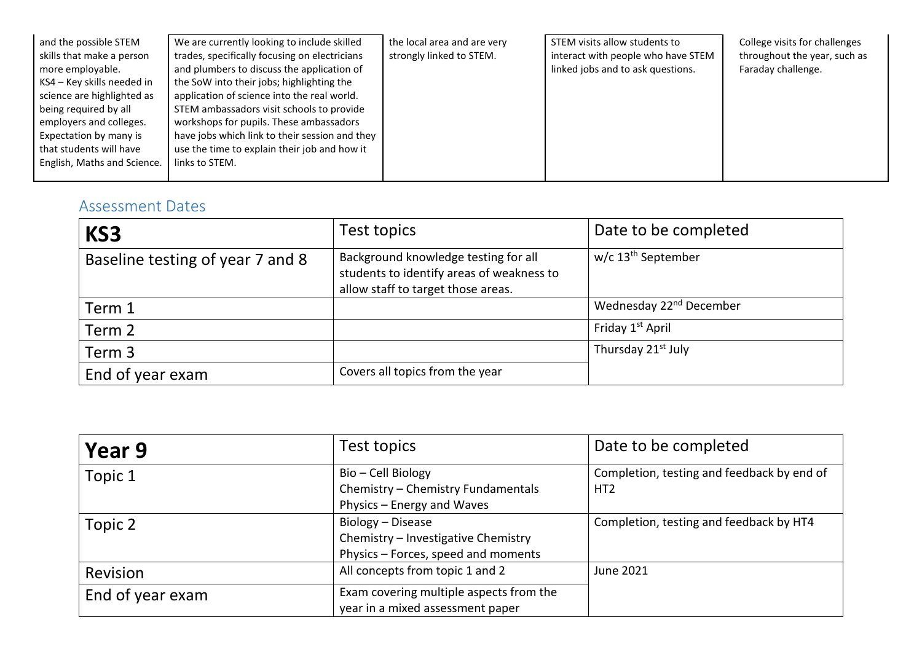| and the possible STEM       | We are currently looking to include skilled    | the local area and are very | STEM visits allow students to      | College visits for challenges |
|-----------------------------|------------------------------------------------|-----------------------------|------------------------------------|-------------------------------|
| skills that make a person   | trades, specifically focusing on electricians  | strongly linked to STEM.    | interact with people who have STEM | throughout the year, such as  |
| more employable.            | and plumbers to discuss the application of     |                             | linked jobs and to ask questions.  | Faraday challenge.            |
| KS4 – Key skills needed in  | the SoW into their jobs; highlighting the      |                             |                                    |                               |
| science are highlighted as  | application of science into the real world.    |                             |                                    |                               |
| being required by all       | STEM ambassadors visit schools to provide      |                             |                                    |                               |
| employers and colleges.     | workshops for pupils. These ambassadors        |                             |                                    |                               |
| Expectation by many is      | have jobs which link to their session and they |                             |                                    |                               |
| that students will have     | use the time to explain their job and how it   |                             |                                    |                               |
| English, Maths and Science. | links to STEM.                                 |                             |                                    |                               |
|                             |                                                |                             |                                    |                               |

## <span id="page-5-0"></span>Assessment Dates

| KS3                              | Test topics                                                                                                             | Date to be completed                |
|----------------------------------|-------------------------------------------------------------------------------------------------------------------------|-------------------------------------|
| Baseline testing of year 7 and 8 | Background knowledge testing for all<br>students to identify areas of weakness to<br>allow staff to target those areas. | w/c 13 <sup>th</sup> September      |
| Term 1                           |                                                                                                                         | Wednesday 22 <sup>nd</sup> December |
| Term 2                           |                                                                                                                         | Friday 1 <sup>st</sup> April        |
| Term 3                           |                                                                                                                         | Thursday 21 <sup>st</sup> July      |
| End of year exam                 | Covers all topics from the year                                                                                         |                                     |

| Year 9           | Test topics                             | Date to be completed                       |
|------------------|-----------------------------------------|--------------------------------------------|
| Topic 1          | Bio - Cell Biology                      | Completion, testing and feedback by end of |
|                  | Chemistry - Chemistry Fundamentals      | HT <sub>2</sub>                            |
|                  | Physics - Energy and Waves              |                                            |
| Topic 2          | Biology - Disease                       | Completion, testing and feedback by HT4    |
|                  | Chemistry - Investigative Chemistry     |                                            |
|                  | Physics - Forces, speed and moments     |                                            |
| <b>Revision</b>  | All concepts from topic 1 and 2         | <b>June 2021</b>                           |
| End of year exam | Exam covering multiple aspects from the |                                            |
|                  | year in a mixed assessment paper        |                                            |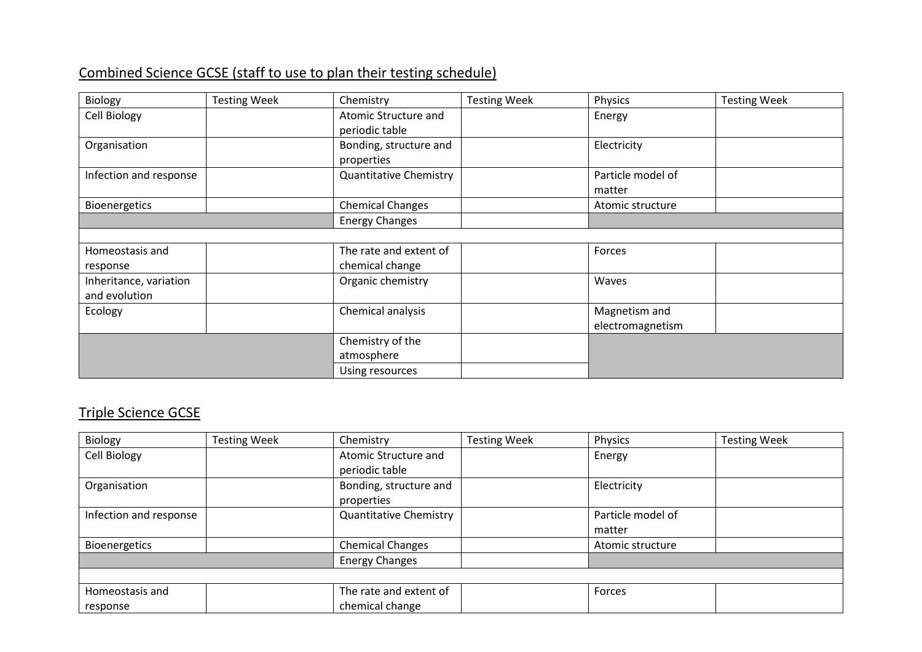## Combined Science GCSE (staff to use to plan their testing schedule)

| Biology                | <b>Testing Week</b> | Chemistry                     | <b>Testing Week</b> | Physics           | <b>Testing Week</b> |
|------------------------|---------------------|-------------------------------|---------------------|-------------------|---------------------|
| Cell Biology           |                     | Atomic Structure and          |                     | Energy            |                     |
|                        |                     | periodic table                |                     |                   |                     |
| Organisation           |                     | Bonding, structure and        |                     | Electricity       |                     |
|                        |                     | properties                    |                     |                   |                     |
| Infection and response |                     | <b>Quantitative Chemistry</b> |                     | Particle model of |                     |
|                        |                     |                               |                     | matter            |                     |
| Bioenergetics          |                     | <b>Chemical Changes</b>       |                     | Atomic structure  |                     |
|                        |                     | <b>Energy Changes</b>         |                     |                   |                     |
|                        |                     |                               |                     |                   |                     |
| Homeostasis and        |                     | The rate and extent of        |                     | Forces            |                     |
| response               |                     | chemical change               |                     |                   |                     |
| Inheritance, variation |                     | Organic chemistry             |                     | Waves             |                     |
| and evolution          |                     |                               |                     |                   |                     |
| Ecology                |                     | Chemical analysis             |                     | Magnetism and     |                     |
|                        |                     |                               |                     | electromagnetism  |                     |
|                        |                     | Chemistry of the              |                     |                   |                     |
|                        |                     | atmosphere                    |                     |                   |                     |
|                        |                     | Using resources               |                     |                   |                     |

## Triple Science GCSE

| Biology                | <b>Testing Week</b> | Chemistry                     | <b>Testing Week</b> | Physics           | <b>Testing Week</b> |
|------------------------|---------------------|-------------------------------|---------------------|-------------------|---------------------|
| Cell Biology           |                     | Atomic Structure and          |                     | Energy            |                     |
|                        |                     | periodic table                |                     |                   |                     |
| Organisation           |                     | Bonding, structure and        |                     | Electricity       |                     |
|                        |                     | properties                    |                     |                   |                     |
| Infection and response |                     | <b>Quantitative Chemistry</b> |                     | Particle model of |                     |
|                        |                     |                               |                     | matter            |                     |
| Bioenergetics          |                     | <b>Chemical Changes</b>       |                     | Atomic structure  |                     |
|                        |                     | <b>Energy Changes</b>         |                     |                   |                     |
|                        |                     |                               |                     |                   |                     |
| Homeostasis and        |                     | The rate and extent of        |                     | Forces            |                     |
| response               |                     | chemical change               |                     |                   |                     |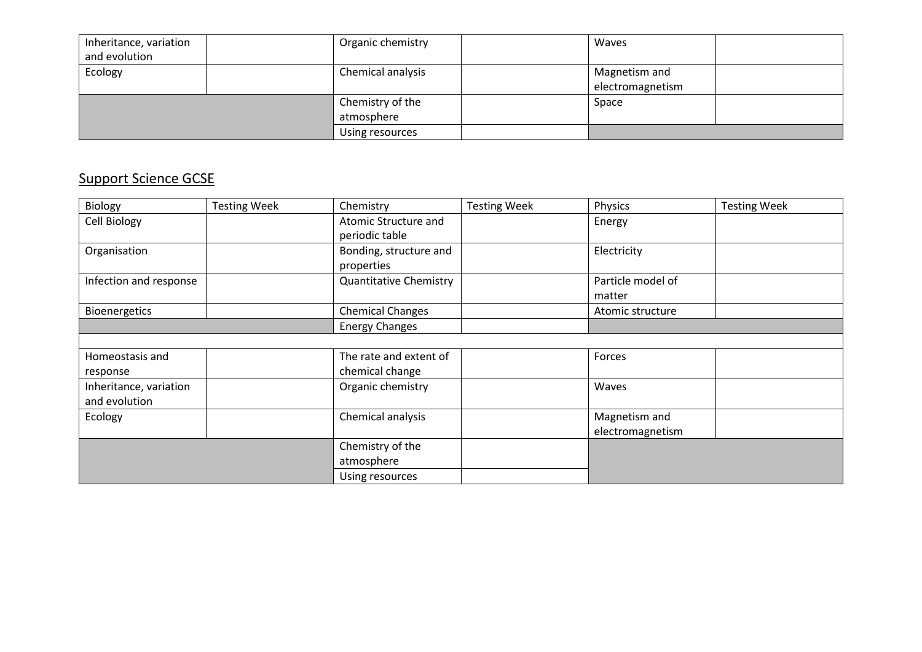| Inheritance, variation | Organic chemistry | <b>Waves</b>     |  |
|------------------------|-------------------|------------------|--|
| and evolution          |                   |                  |  |
| Ecology                | Chemical analysis | Magnetism and    |  |
|                        |                   | electromagnetism |  |
|                        | Chemistry of the  | Space            |  |
|                        | atmosphere        |                  |  |
|                        | Using resources   |                  |  |

## Support Science GCSE

| Biology                | <b>Testing Week</b> | Chemistry                     | <b>Testing Week</b> | Physics           | <b>Testing Week</b> |
|------------------------|---------------------|-------------------------------|---------------------|-------------------|---------------------|
| <b>Cell Biology</b>    |                     | Atomic Structure and          |                     | Energy            |                     |
|                        |                     | periodic table                |                     |                   |                     |
| Organisation           |                     | Bonding, structure and        |                     | Electricity       |                     |
|                        |                     | properties                    |                     |                   |                     |
| Infection and response |                     | <b>Quantitative Chemistry</b> |                     | Particle model of |                     |
|                        |                     |                               |                     | matter            |                     |
| Bioenergetics          |                     | <b>Chemical Changes</b>       |                     | Atomic structure  |                     |
|                        |                     | <b>Energy Changes</b>         |                     |                   |                     |
|                        |                     |                               |                     |                   |                     |
| Homeostasis and        |                     | The rate and extent of        |                     | Forces            |                     |
| response               |                     | chemical change               |                     |                   |                     |
| Inheritance, variation |                     | Organic chemistry             |                     | Waves             |                     |
| and evolution          |                     |                               |                     |                   |                     |
| Ecology                |                     | Chemical analysis             |                     | Magnetism and     |                     |
|                        |                     |                               |                     | electromagnetism  |                     |
|                        |                     | Chemistry of the              |                     |                   |                     |
|                        |                     | atmosphere                    |                     |                   |                     |
|                        |                     | Using resources               |                     |                   |                     |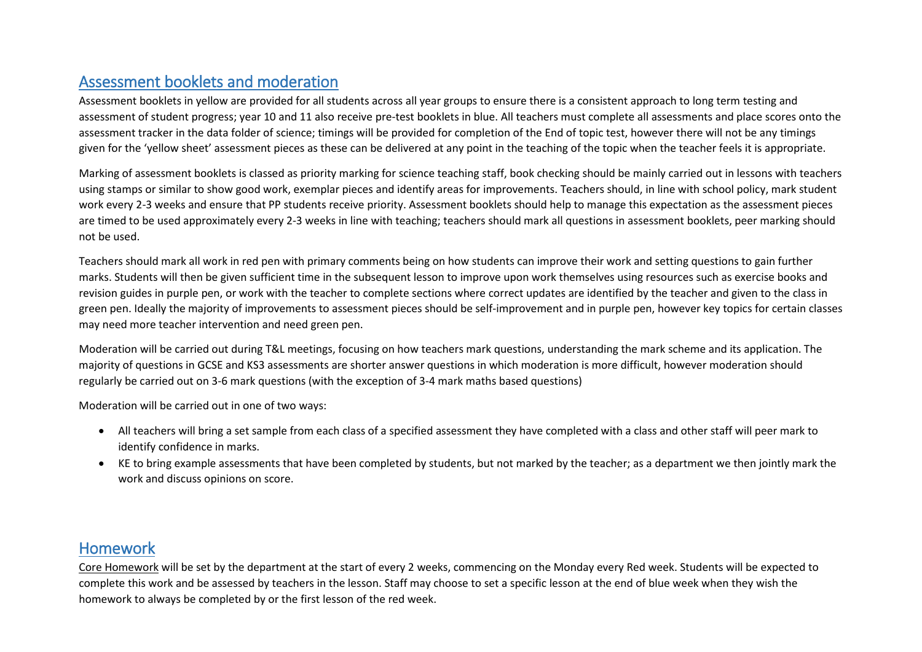### <span id="page-8-0"></span>Assessment booklets and moderation

Assessment booklets in yellow are provided for all students across all year groups to ensure there is a consistent approach to long term testing and assessment of student progress; year 10 and 11 also receive pre-test booklets in blue. All teachers must complete all assessments and place scores onto the assessment tracker in the data folder of science; timings will be provided for completion of the End of topic test, however there will not be any timings given for the 'yellow sheet' assessment pieces as these can be delivered at any point in the teaching of the topic when the teacher feels it is appropriate.

Marking of assessment booklets is classed as priority marking for science teaching staff, book checking should be mainly carried out in lessons with teachers using stamps or similar to show good work, exemplar pieces and identify areas for improvements. Teachers should, in line with school policy, mark student work every 2-3 weeks and ensure that PP students receive priority. Assessment booklets should help to manage this expectation as the assessment pieces are timed to be used approximately every 2-3 weeks in line with teaching; teachers should mark all questions in assessment booklets, peer marking should not be used.

Teachers should mark all work in red pen with primary comments being on how students can improve their work and setting questions to gain further marks. Students will then be given sufficient time in the subsequent lesson to improve upon work themselves using resources such as exercise books and revision guides in purple pen, or work with the teacher to complete sections where correct updates are identified by the teacher and given to the class in green pen. Ideally the majority of improvements to assessment pieces should be self-improvement and in purple pen, however key topics for certain classes may need more teacher intervention and need green pen.

Moderation will be carried out during T&L meetings, focusing on how teachers mark questions, understanding the mark scheme and its application. The majority of questions in GCSE and KS3 assessments are shorter answer questions in which moderation is more difficult, however moderation should regularly be carried out on 3-6 mark questions (with the exception of 3-4 mark maths based questions)

Moderation will be carried out in one of two ways:

- All teachers will bring a set sample from each class of a specified assessment they have completed with a class and other staff will peer mark to identify confidence in marks.
- KE to bring example assessments that have been completed by students, but not marked by the teacher; as a department we then jointly mark the work and discuss opinions on score.

#### <span id="page-8-1"></span>Homework

Core Homework will be set by the department at the start of every 2 weeks, commencing on the Monday every Red week. Students will be expected to complete this work and be assessed by teachers in the lesson. Staff may choose to set a specific lesson at the end of blue week when they wish the homework to always be completed by or the first lesson of the red week.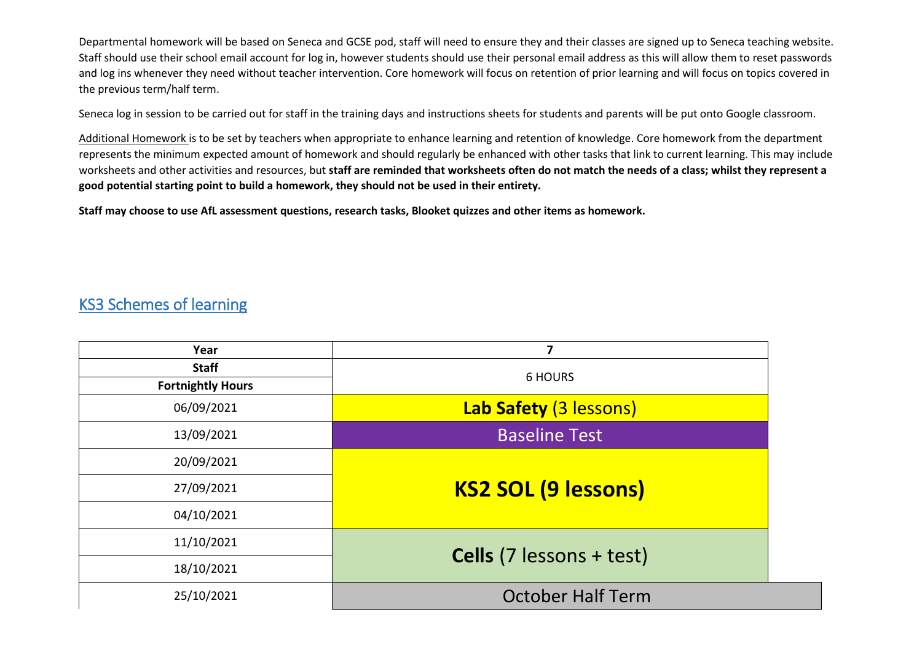Departmental homework will be based on Seneca and GCSE pod, staff will need to ensure they and their classes are signed up to Seneca teaching website. Staff should use their school email account for log in, however students should use their personal email address as this will allow them to reset passwords and log ins whenever they need without teacher intervention. Core homework will focus on retention of prior learning and will focus on topics covered in the previous term/half term.

Seneca log in session to be carried out for staff in the training days and instructions sheets for students and parents will be put onto Google classroom.

Additional Homework is to be set by teachers when appropriate to enhance learning and retention of knowledge. Core homework from the department represents the minimum expected amount of homework and should regularly be enhanced with other tasks that link to current learning. This may include worksheets and other activities and resources, but **staff are reminded that worksheets often do not match the needs of a class; whilst they represent a good potential starting point to build a homework, they should not be used in their entirety.**

**Staff may choose to use AfL assessment questions, research tasks, Blooket quizzes and other items as homework.**

#### KS3 Schemes of learning

| Year                                     | 7                               |  |  |  |
|------------------------------------------|---------------------------------|--|--|--|
| <b>Staff</b><br><b>Fortnightly Hours</b> | <b>6 HOURS</b>                  |  |  |  |
| 06/09/2021                               | Lab Safety (3 lessons)          |  |  |  |
| 13/09/2021                               | <b>Baseline Test</b>            |  |  |  |
| 20/09/2021                               |                                 |  |  |  |
| 27/09/2021                               | <b>KS2 SOL (9 lessons)</b>      |  |  |  |
| 04/10/2021                               |                                 |  |  |  |
| 11/10/2021                               |                                 |  |  |  |
| 18/10/2021                               | <b>Cells</b> (7 lessons + test) |  |  |  |
| 25/10/2021                               | <b>October Half Term</b>        |  |  |  |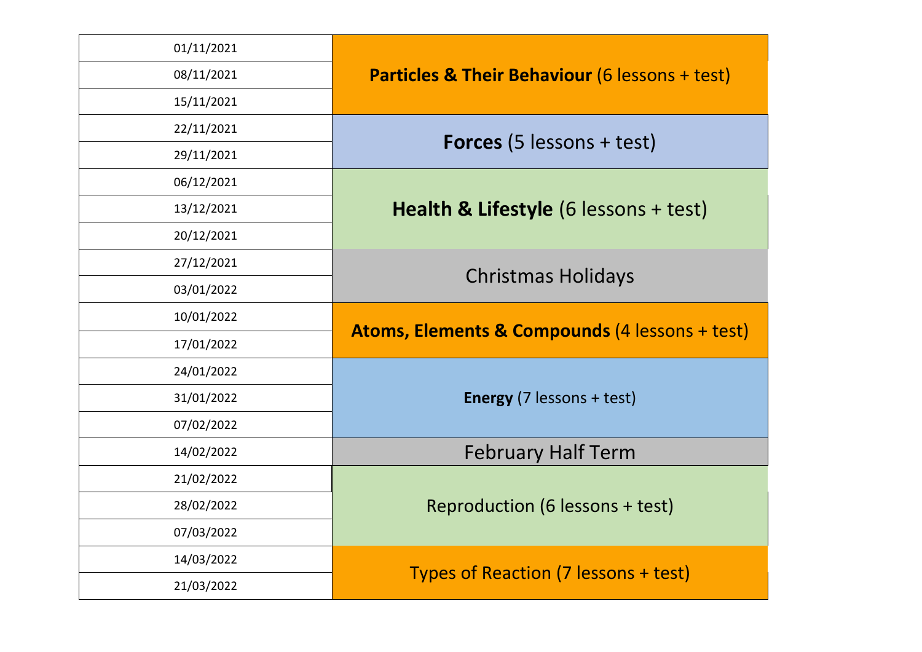| 01/11/2021 |                                                           |  |  |  |
|------------|-----------------------------------------------------------|--|--|--|
| 08/11/2021 | <b>Particles &amp; Their Behaviour (6 lessons + test)</b> |  |  |  |
| 15/11/2021 |                                                           |  |  |  |
| 22/11/2021 |                                                           |  |  |  |
| 29/11/2021 | <b>Forces</b> $(5$ lessons + test)                        |  |  |  |
| 06/12/2021 |                                                           |  |  |  |
| 13/12/2021 | Health & Lifestyle (6 lessons + test)                     |  |  |  |
| 20/12/2021 |                                                           |  |  |  |
| 27/12/2021 |                                                           |  |  |  |
| 03/01/2022 | <b>Christmas Holidays</b>                                 |  |  |  |
| 10/01/2022 |                                                           |  |  |  |
| 17/01/2022 | <b>Atoms, Elements &amp; Compounds (4 lessons + test)</b> |  |  |  |
| 24/01/2022 |                                                           |  |  |  |
| 31/01/2022 | <b>Energy</b> (7 lessons + test)                          |  |  |  |
| 07/02/2022 |                                                           |  |  |  |
| 14/02/2022 | <b>February Half Term</b>                                 |  |  |  |
| 21/02/2022 |                                                           |  |  |  |
| 28/02/2022 | Reproduction (6 lessons + test)                           |  |  |  |
| 07/03/2022 |                                                           |  |  |  |
| 14/03/2022 |                                                           |  |  |  |
| 21/03/2022 | Types of Reaction (7 lessons + test)                      |  |  |  |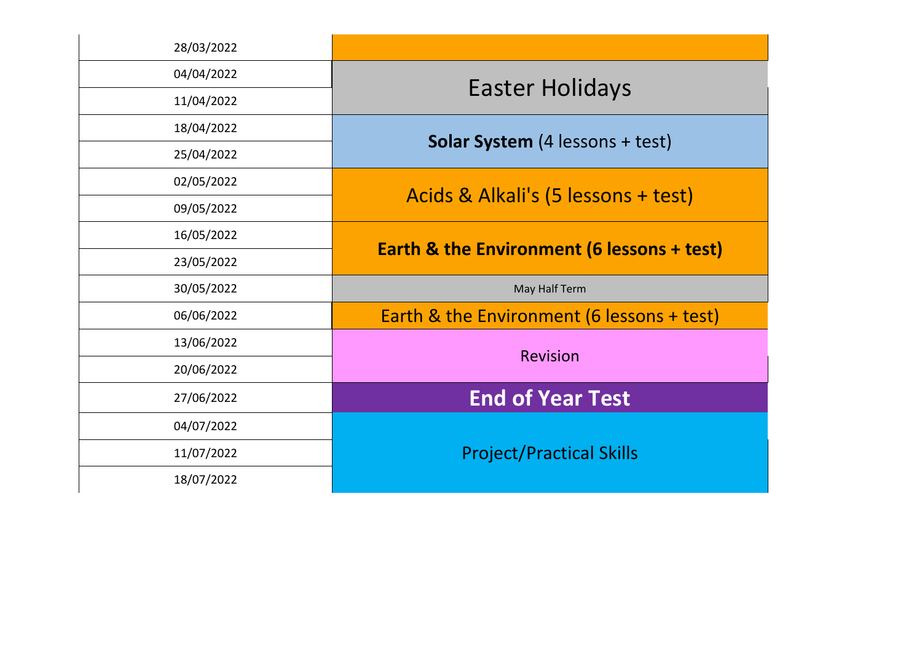| 28/03/2022 |                                                       |
|------------|-------------------------------------------------------|
| 04/04/2022 |                                                       |
| 11/04/2022 | <b>Easter Holidays</b>                                |
| 18/04/2022 |                                                       |
| 25/04/2022 | <b>Solar System</b> (4 lessons + test)                |
| 02/05/2022 |                                                       |
| 09/05/2022 | Acids & Alkali's (5 lessons + test)                   |
| 16/05/2022 |                                                       |
| 23/05/2022 | <b>Earth &amp; the Environment (6 lessons + test)</b> |
| 30/05/2022 | May Half Term                                         |
| 06/06/2022 | Earth & the Environment (6 lessons + test)            |
| 13/06/2022 | <b>Revision</b>                                       |
| 20/06/2022 |                                                       |
| 27/06/2022 | <b>End of Year Test</b>                               |
| 04/07/2022 |                                                       |
| 11/07/2022 | <b>Project/Practical Skills</b>                       |
| 18/07/2022 |                                                       |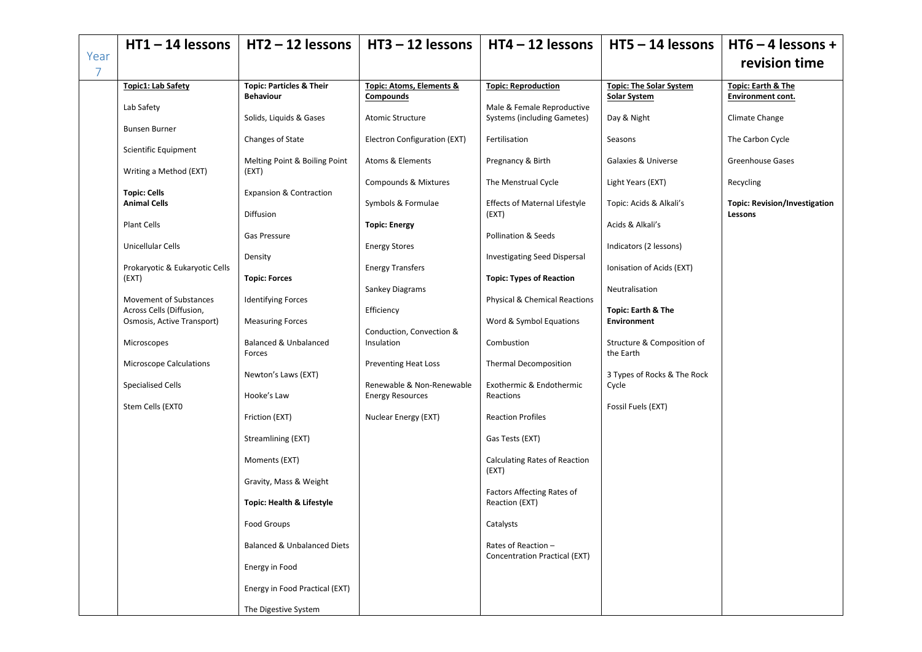<span id="page-12-0"></span>

|                        | $HT1 - 14$ lessons                                  | $HT2 - 12$ lessons                                      | $HT3 - 12$ lessons                              | $HT4 - 12$ lessons                                               | $HT5 - 14$ lessons                                  | $HT6 - 4$ lessons +                                |
|------------------------|-----------------------------------------------------|---------------------------------------------------------|-------------------------------------------------|------------------------------------------------------------------|-----------------------------------------------------|----------------------------------------------------|
| Year<br>$\overline{7}$ |                                                     |                                                         |                                                 |                                                                  |                                                     | revision time                                      |
|                        | Topic1: Lab Safety                                  | <b>Topic: Particles &amp; Their</b><br><b>Behaviour</b> | Topic: Atoms, Elements &<br>Compounds           | <b>Topic: Reproduction</b>                                       | <b>Topic: The Solar System</b><br>Solar System      | <b>Topic: Earth &amp; The</b><br>Environment cont. |
|                        | Lab Safety                                          | Solids, Liquids & Gases                                 | <b>Atomic Structure</b>                         | Male & Female Reproductive<br><b>Systems (including Gametes)</b> | Day & Night                                         | Climate Change                                     |
|                        | <b>Bunsen Burner</b>                                | Changes of State                                        | Electron Configuration (EXT)                    | Fertilisation                                                    | Seasons                                             | The Carbon Cycle                                   |
|                        | Scientific Equipment<br>Writing a Method (EXT)      | Melting Point & Boiling Point<br>(EXT)                  | Atoms & Elements                                | Pregnancy & Birth                                                | Galaxies & Universe                                 | Greenhouse Gases                                   |
|                        | <b>Topic: Cells</b>                                 | <b>Expansion &amp; Contraction</b>                      | <b>Compounds &amp; Mixtures</b>                 | The Menstrual Cycle                                              | Light Years (EXT)                                   | Recycling                                          |
|                        | <b>Animal Cells</b>                                 | Diffusion                                               | Symbols & Formulae                              | <b>Effects of Maternal Lifestyle</b><br>(EXT)                    | Topic: Acids & Alkali's                             | <b>Topic: Revision/Investigation</b><br>Lessons    |
|                        | Plant Cells                                         | Gas Pressure                                            | <b>Topic: Energy</b>                            | Pollination & Seeds                                              | Acids & Alkali's                                    |                                                    |
|                        | Unicellular Cells<br>Prokaryotic & Eukaryotic Cells | Density                                                 | <b>Energy Stores</b><br><b>Energy Transfers</b> | Investigating Seed Dispersal                                     | Indicators (2 lessons)<br>Ionisation of Acids (EXT) |                                                    |
|                        | (EXT)                                               | <b>Topic: Forces</b>                                    | Sankey Diagrams                                 | <b>Topic: Types of Reaction</b>                                  | Neutralisation                                      |                                                    |
|                        | Movement of Substances<br>Across Cells (Diffusion,  | <b>Identifying Forces</b>                               | Efficiency                                      | <b>Physical &amp; Chemical Reactions</b>                         | <b>Topic: Earth &amp; The</b>                       |                                                    |
|                        | Osmosis, Active Transport)                          | <b>Measuring Forces</b>                                 | Conduction, Convection &                        | Word & Symbol Equations                                          | <b>Environment</b>                                  |                                                    |
|                        | Microscopes<br><b>Microscope Calculations</b>       | Balanced & Unbalanced<br>Forces                         | Insulation<br><b>Preventing Heat Loss</b>       | Combustion<br><b>Thermal Decomposition</b>                       | Structure & Composition of<br>the Earth             |                                                    |
|                        | <b>Specialised Cells</b>                            | Newton's Laws (EXT)                                     | Renewable & Non-Renewable                       | Exothermic & Endothermic                                         | 3 Types of Rocks & The Rock<br>Cycle                |                                                    |
|                        | Stem Cells (EXTO                                    | Hooke's Law                                             | <b>Energy Resources</b>                         | Reactions                                                        | Fossil Fuels (EXT)                                  |                                                    |
|                        |                                                     | Friction (EXT)                                          | Nuclear Energy (EXT)                            | <b>Reaction Profiles</b>                                         |                                                     |                                                    |
|                        |                                                     | Streamlining (EXT)<br>Moments (EXT)                     |                                                 | Gas Tests (EXT)<br><b>Calculating Rates of Reaction</b>          |                                                     |                                                    |
|                        |                                                     | Gravity, Mass & Weight                                  |                                                 | (EXT)                                                            |                                                     |                                                    |
|                        |                                                     | Topic: Health & Lifestyle                               |                                                 | Factors Affecting Rates of<br>Reaction (EXT)                     |                                                     |                                                    |
|                        |                                                     | Food Groups                                             |                                                 | Catalysts                                                        |                                                     |                                                    |
|                        |                                                     | <b>Balanced &amp; Unbalanced Diets</b>                  |                                                 | Rates of Reaction -<br>Concentration Practical (EXT)             |                                                     |                                                    |
|                        |                                                     | Energy in Food                                          |                                                 |                                                                  |                                                     |                                                    |
|                        |                                                     | Energy in Food Practical (EXT)                          |                                                 |                                                                  |                                                     |                                                    |
|                        |                                                     | The Digestive System                                    |                                                 |                                                                  |                                                     |                                                    |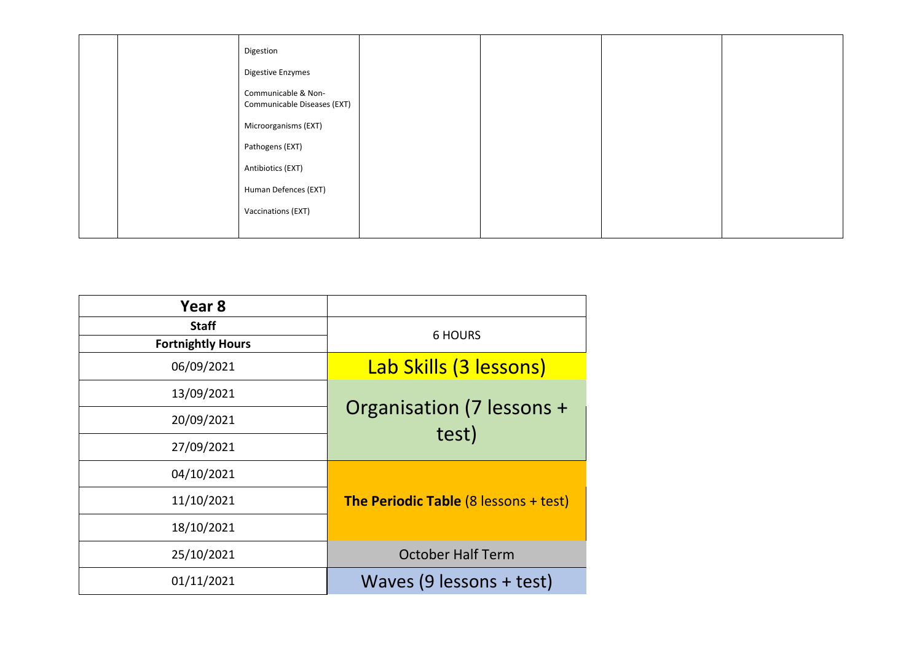|  | Digestion<br>Digestive Enzymes                     |  |  |
|--|----------------------------------------------------|--|--|
|  | Communicable & Non-<br>Communicable Diseases (EXT) |  |  |
|  | Microorganisms (EXT)                               |  |  |
|  | Pathogens (EXT)                                    |  |  |
|  | Antibiotics (EXT)                                  |  |  |
|  | Human Defences (EXT)                               |  |  |
|  | Vaccinations (EXT)                                 |  |  |
|  |                                                    |  |  |

<span id="page-13-0"></span>

| Year <sub>8</sub>        |                                              |
|--------------------------|----------------------------------------------|
| <b>Staff</b>             | <b>6 HOURS</b>                               |
| <b>Fortnightly Hours</b> |                                              |
| 06/09/2021               | Lab Skills (3 lessons)                       |
| 13/09/2021               | Organisation (7 lessons +                    |
| 20/09/2021               | test)                                        |
| 27/09/2021               |                                              |
| 04/10/2021               |                                              |
| 11/10/2021               | <b>The Periodic Table (8 lessons + test)</b> |
| 18/10/2021               |                                              |
| 25/10/2021               | <b>October Half Term</b>                     |
| 01/11/2021               | Waves $(9$ lessons + test)                   |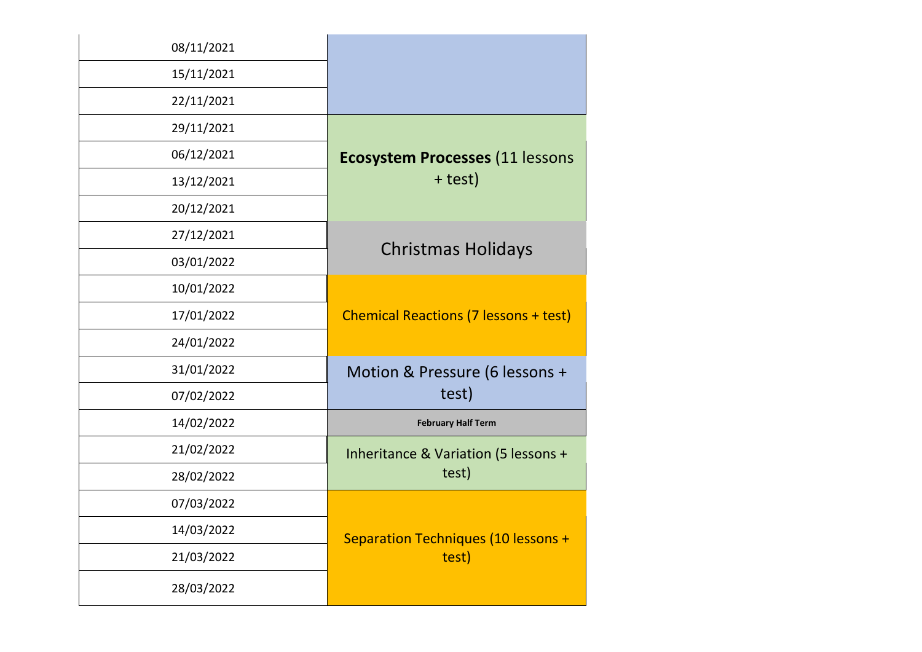| 08/11/2021 |                                              |
|------------|----------------------------------------------|
| 15/11/2021 |                                              |
| 22/11/2021 |                                              |
| 29/11/2021 |                                              |
| 06/12/2021 | <b>Ecosystem Processes (11 lessons</b>       |
| 13/12/2021 | + test)                                      |
| 20/12/2021 |                                              |
| 27/12/2021 |                                              |
| 03/01/2022 | <b>Christmas Holidays</b>                    |
| 10/01/2022 |                                              |
| 17/01/2022 | <b>Chemical Reactions (7 lessons + test)</b> |
| 24/01/2022 |                                              |
| 31/01/2022 | Motion & Pressure (6 lessons +               |
| 07/02/2022 | test)                                        |
| 14/02/2022 | <b>February Half Term</b>                    |
| 21/02/2022 | Inheritance & Variation (5 lessons +         |
| 28/02/2022 | test)                                        |
| 07/03/2022 |                                              |
| 14/03/2022 | <b>Separation Techniques (10 lessons +</b>   |
| 21/03/2022 | test)                                        |
| 28/03/2022 |                                              |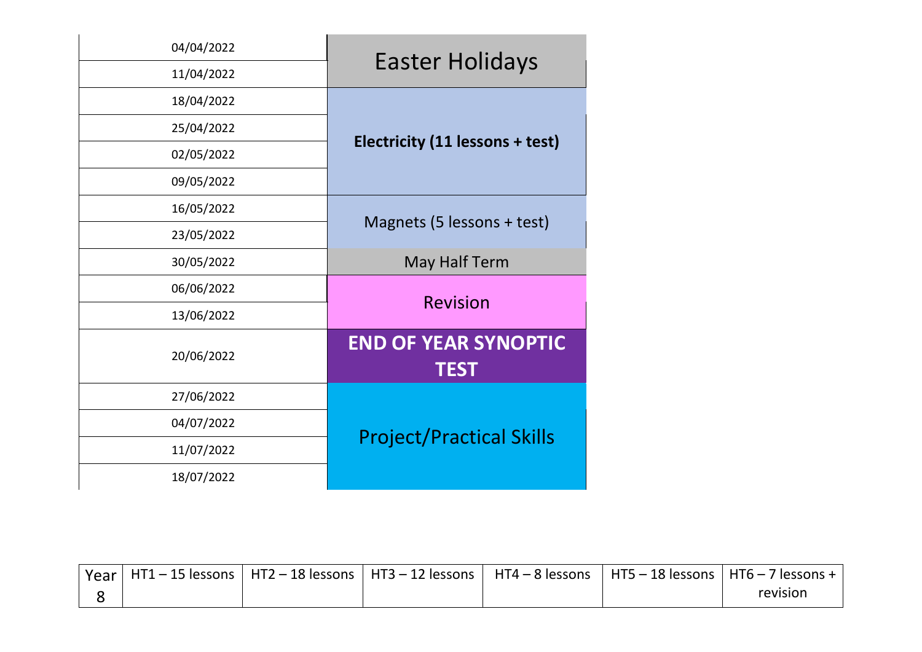| 04/04/2022 | <b>Easter Holidays</b>                     |  |
|------------|--------------------------------------------|--|
| 11/04/2022 |                                            |  |
| 18/04/2022 |                                            |  |
| 25/04/2022 |                                            |  |
| 02/05/2022 | Electricity (11 lessons + test)            |  |
| 09/05/2022 |                                            |  |
| 16/05/2022 |                                            |  |
| 23/05/2022 | Magnets (5 lessons + test)                 |  |
| 30/05/2022 | May Half Term                              |  |
| 06/06/2022 |                                            |  |
| 13/06/2022 | <b>Revision</b>                            |  |
| 20/06/2022 | <b>END OF YEAR SYNOPTIC</b><br><b>TEST</b> |  |
| 27/06/2022 |                                            |  |
| 04/07/2022 |                                            |  |
| 11/07/2022 | <b>Project/Practical Skills</b>            |  |
| 18/07/2022 |                                            |  |

|  |  | ' Year   HT1 – 15 lessons   HT2 – 18 lessons   HT3 – 12 lessons   HT4 – 8 lessons   HT5 – 18 lessons   HT6 – 7 lessons + 1 |          |
|--|--|----------------------------------------------------------------------------------------------------------------------------|----------|
|  |  |                                                                                                                            | revision |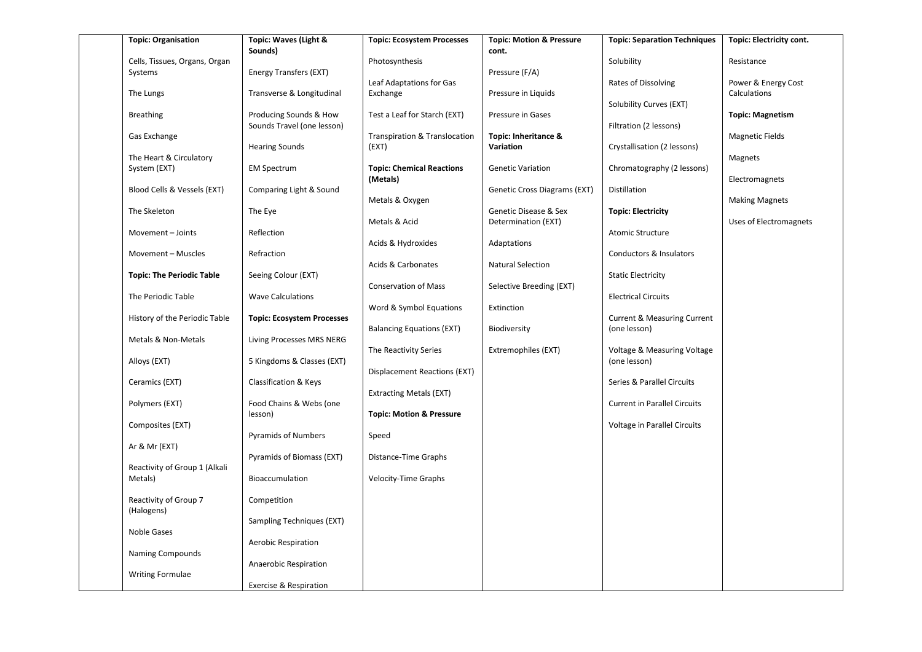| <b>Topic: Organisation</b>       | Topic: Waves (Light &<br>Sounds)  | <b>Topic: Ecosystem Processes</b>            | <b>Topic: Motion &amp; Pressure</b><br>cont. | <b>Topic: Separation Techniques</b>    | Topic: Electricity cont.            |
|----------------------------------|-----------------------------------|----------------------------------------------|----------------------------------------------|----------------------------------------|-------------------------------------|
| Cells, Tissues, Organs, Organ    |                                   | Photosynthesis                               |                                              | Solubility                             | Resistance                          |
| Systems                          | Energy Transfers (EXT)            |                                              | Pressure (F/A)                               |                                        |                                     |
| The Lungs                        | Transverse & Longitudinal         | Leaf Adaptations for Gas<br>Exchange         | Pressure in Liquids                          | Rates of Dissolving                    | Power & Energy Cost<br>Calculations |
| <b>Breathing</b>                 | Producing Sounds & How            | Test a Leaf for Starch (EXT)                 | Pressure in Gases                            | Solubility Curves (EXT)                | <b>Topic: Magnetism</b>             |
|                                  | Sounds Travel (one lesson)        |                                              |                                              | Filtration (2 lessons)                 |                                     |
| Gas Exchange                     | <b>Hearing Sounds</b>             | Transpiration & Translocation<br>(EXT)       | Topic: Inheritance &<br>Variation            | Crystallisation (2 lessons)            | Magnetic Fields                     |
| The Heart & Circulatory          |                                   |                                              |                                              |                                        | Magnets                             |
| System (EXT)                     | <b>EM Spectrum</b>                | <b>Topic: Chemical Reactions</b><br>(Metals) | <b>Genetic Variation</b>                     | Chromatography (2 lessons)             | Electromagnets                      |
| Blood Cells & Vessels (EXT)      | Comparing Light & Sound           |                                              | Genetic Cross Diagrams (EXT)                 | Distillation                           |                                     |
| The Skeleton                     | The Eye                           | Metals & Oxygen                              | Genetic Disease & Sex                        | <b>Topic: Electricity</b>              | <b>Making Magnets</b>               |
|                                  |                                   | Metals & Acid                                | Determination (EXT)                          |                                        | Uses of Electromagnets              |
| Movement - Joints                | Reflection                        |                                              |                                              | Atomic Structure                       |                                     |
|                                  |                                   | Acids & Hydroxides                           | Adaptations                                  |                                        |                                     |
| Movement - Muscles               | Refraction                        |                                              |                                              | Conductors & Insulators                |                                     |
| <b>Topic: The Periodic Table</b> | Seeing Colour (EXT)               | Acids & Carbonates                           | Natural Selection                            | <b>Static Electricity</b>              |                                     |
|                                  |                                   | <b>Conservation of Mass</b>                  | Selective Breeding (EXT)                     |                                        |                                     |
| The Periodic Table               | <b>Wave Calculations</b>          |                                              |                                              | <b>Electrical Circuits</b>             |                                     |
|                                  |                                   | Word & Symbol Equations                      | Extinction                                   |                                        |                                     |
| History of the Periodic Table    | <b>Topic: Ecosystem Processes</b> |                                              |                                              | <b>Current &amp; Measuring Current</b> |                                     |
| Metals & Non-Metals              | Living Processes MRS NERG         | <b>Balancing Equations (EXT)</b>             | Biodiversity                                 | (one lesson)                           |                                     |
|                                  |                                   | The Reactivity Series                        | Extremophiles (EXT)                          | Voltage & Measuring Voltage            |                                     |
| Alloys (EXT)                     | 5 Kingdoms & Classes (EXT)        |                                              |                                              | (one lesson)                           |                                     |
|                                  |                                   | Displacement Reactions (EXT)                 |                                              |                                        |                                     |
| Ceramics (EXT)                   | Classification & Keys             |                                              |                                              | Series & Parallel Circuits             |                                     |
| Polymers (EXT)                   | Food Chains & Webs (one           | Extracting Metals (EXT)                      |                                              | <b>Current in Parallel Circuits</b>    |                                     |
|                                  | lesson)                           | <b>Topic: Motion &amp; Pressure</b>          |                                              |                                        |                                     |
| Composites (EXT)                 |                                   |                                              |                                              | Voltage in Parallel Circuits           |                                     |
|                                  | <b>Pyramids of Numbers</b>        | Speed                                        |                                              |                                        |                                     |
| Ar & Mr (EXT)                    |                                   |                                              |                                              |                                        |                                     |
| Reactivity of Group 1 (Alkali    | Pyramids of Biomass (EXT)         | Distance-Time Graphs                         |                                              |                                        |                                     |
| Metals)                          | Bioaccumulation                   | Velocity-Time Graphs                         |                                              |                                        |                                     |
| Reactivity of Group 7            | Competition                       |                                              |                                              |                                        |                                     |
| (Halogens)                       |                                   |                                              |                                              |                                        |                                     |
| Noble Gases                      | Sampling Techniques (EXT)         |                                              |                                              |                                        |                                     |
|                                  | Aerobic Respiration               |                                              |                                              |                                        |                                     |
| Naming Compounds                 |                                   |                                              |                                              |                                        |                                     |
|                                  | Anaerobic Respiration             |                                              |                                              |                                        |                                     |
| <b>Writing Formulae</b>          |                                   |                                              |                                              |                                        |                                     |
|                                  | Exercise & Respiration            |                                              |                                              |                                        |                                     |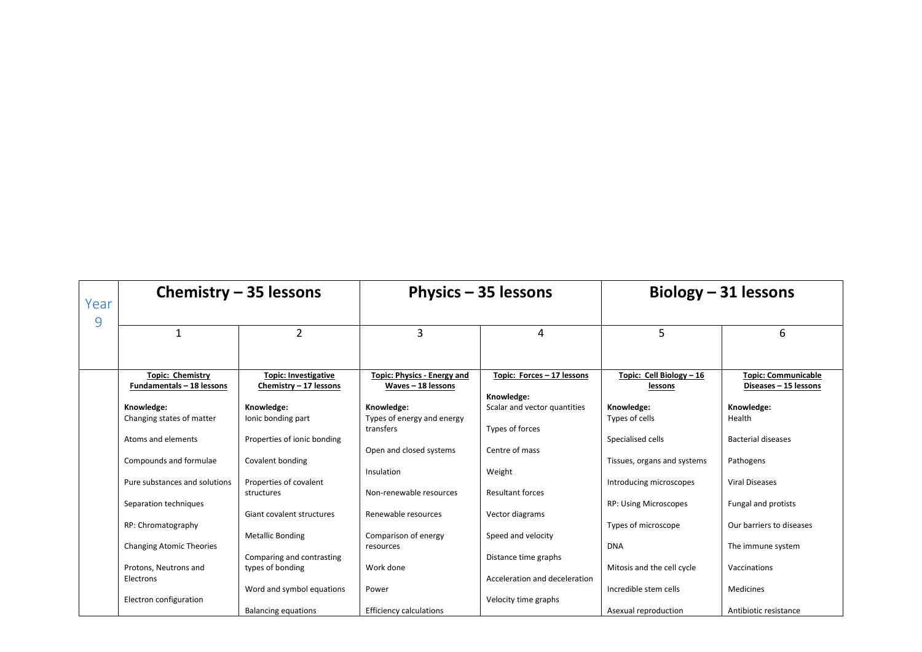<span id="page-17-0"></span>

| Year<br>9 | Chemistry $-35$ lessons                 |                                  |                                          | Physics - 35 lessons          |                              | Biology $-31$ lessons      |  |
|-----------|-----------------------------------------|----------------------------------|------------------------------------------|-------------------------------|------------------------------|----------------------------|--|
|           |                                         | $\overline{2}$                   | 3                                        | 4                             | 5                            | 6                          |  |
|           |                                         |                                  |                                          |                               |                              |                            |  |
|           | <b>Topic: Chemistry</b>                 | <b>Topic: Investigative</b>      | <b>Topic: Physics - Energy and</b>       | Topic: Forces - 17 lessons    | Topic: Cell Biology - 16     | <b>Topic: Communicable</b> |  |
|           | Fundamentals - 18 lessons               | Chemistry - 17 lessons           | Waves - 18 lessons                       |                               | lessons                      | Diseases - 15 lessons      |  |
|           |                                         |                                  |                                          | Knowledge:                    |                              |                            |  |
|           | Knowledge:<br>Changing states of matter | Knowledge:<br>lonic bonding part | Knowledge:<br>Types of energy and energy | Scalar and vector quantities  | Knowledge:<br>Types of cells | Knowledge:<br>Health       |  |
|           |                                         |                                  | transfers                                | Types of forces               |                              |                            |  |
|           | Atoms and elements                      | Properties of ionic bonding      |                                          |                               | Specialised cells            | <b>Bacterial diseases</b>  |  |
|           |                                         |                                  | Open and closed systems                  | Centre of mass                |                              |                            |  |
|           | Compounds and formulae                  | Covalent bonding                 |                                          |                               | Tissues, organs and systems  | Pathogens                  |  |
|           |                                         |                                  | Insulation                               | Weight                        |                              |                            |  |
|           | Pure substances and solutions           | Properties of covalent           |                                          |                               | Introducing microscopes      | <b>Viral Diseases</b>      |  |
|           |                                         | structures                       | Non-renewable resources                  | Resultant forces              |                              |                            |  |
|           | Separation techniques                   |                                  |                                          |                               | <b>RP: Using Microscopes</b> | Fungal and protists        |  |
|           |                                         | Giant covalent structures        | Renewable resources                      | Vector diagrams               |                              |                            |  |
|           | RP: Chromatography                      | <b>Metallic Bonding</b>          | Comparison of energy                     | Speed and velocity            | Types of microscope          | Our barriers to diseases   |  |
|           | <b>Changing Atomic Theories</b>         |                                  | resources                                |                               | <b>DNA</b>                   | The immune system          |  |
|           |                                         | Comparing and contrasting        |                                          | Distance time graphs          |                              |                            |  |
|           | Protons, Neutrons and                   | types of bonding                 | Work done                                |                               | Mitosis and the cell cycle   | Vaccinations               |  |
|           | Electrons                               |                                  |                                          | Acceleration and deceleration |                              |                            |  |
|           |                                         | Word and symbol equations        | Power                                    |                               | Incredible stem cells        | Medicines                  |  |
|           | Electron configuration                  |                                  |                                          | Velocity time graphs          |                              |                            |  |
|           |                                         | <b>Balancing equations</b>       | <b>Efficiency calculations</b>           |                               | Asexual reproduction         | Antibiotic resistance      |  |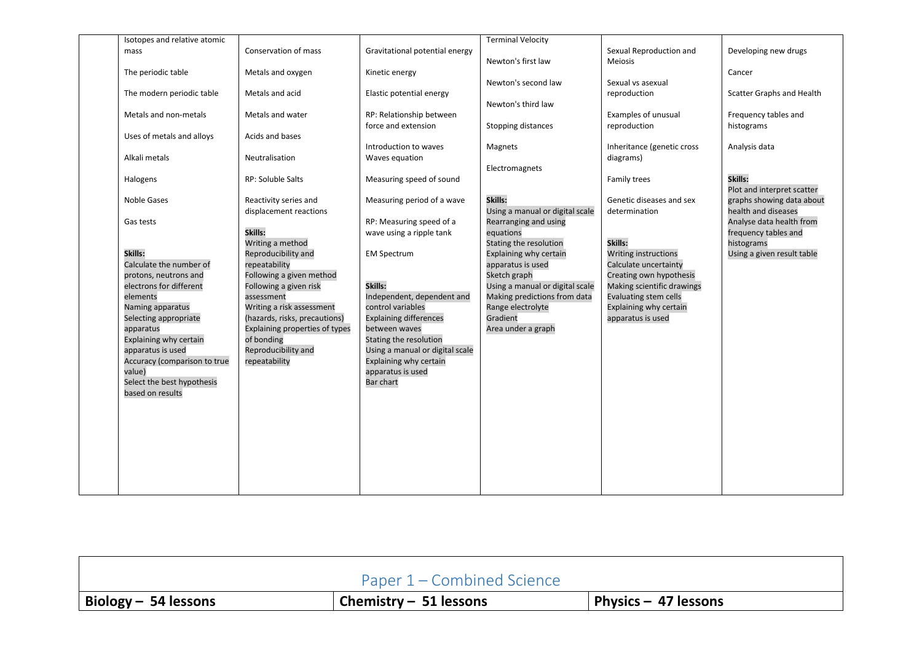| Isotopes and relative atomic |                                |                                                | <b>Terminal Velocity</b>        |                            |                            |
|------------------------------|--------------------------------|------------------------------------------------|---------------------------------|----------------------------|----------------------------|
| mass                         | Conservation of mass           | Gravitational potential energy                 |                                 | Sexual Reproduction and    | Developing new drugs       |
|                              |                                |                                                | Newton's first law              | <b>Meiosis</b>             |                            |
| The periodic table           | Metals and oxygen              | Kinetic energy                                 |                                 |                            | Cancer                     |
|                              |                                |                                                | Newton's second law             | Sexual vs asexual          |                            |
| The modern periodic table    | Metals and acid                | Elastic potential energy                       |                                 | reproduction               | Scatter Graphs and Health  |
|                              |                                |                                                | Newton's third law              |                            |                            |
| Metals and non-metals        | Metals and water               | RP: Relationship between                       |                                 | Examples of unusual        | Frequency tables and       |
|                              |                                | force and extension                            | Stopping distances              | reproduction               | histograms                 |
| Uses of metals and alloys    | Acids and bases                |                                                |                                 |                            |                            |
|                              |                                | Introduction to waves                          | Magnets                         | Inheritance (genetic cross | Analysis data              |
| Alkali metals                | Neutralisation                 | Waves equation                                 |                                 | diagrams)                  |                            |
|                              |                                |                                                | Electromagnets                  |                            |                            |
| Halogens                     | RP: Soluble Salts              | Measuring speed of sound                       |                                 | Family trees               | Skills:                    |
|                              |                                |                                                |                                 |                            | Plot and interpret scatter |
| <b>Noble Gases</b>           | Reactivity series and          | Measuring period of a wave                     | Skills:                         | Genetic diseases and sex   | graphs showing data about  |
|                              | displacement reactions         |                                                | Using a manual or digital scale | determination              | health and diseases        |
| Gas tests                    |                                | RP: Measuring speed of a                       | Rearranging and using           |                            | Analyse data health from   |
|                              | Skills:                        | wave using a ripple tank                       | equations                       |                            | frequency tables and       |
|                              | Writing a method               |                                                | Stating the resolution          | Skills:                    | histograms                 |
| Skills:                      | Reproducibility and            | <b>EM Spectrum</b>                             | Explaining why certain          | Writing instructions       | Using a given result table |
| Calculate the number of      | repeatability                  |                                                | apparatus is used               | Calculate uncertainty      |                            |
| protons, neutrons and        | Following a given method       |                                                | Sketch graph                    | Creating own hypothesis    |                            |
| electrons for different      | Following a given risk         | Skills:                                        | Using a manual or digital scale | Making scientific drawings |                            |
| elements                     | assessment                     | Independent, dependent and                     | Making predictions from data    | Evaluating stem cells      |                            |
|                              | Writing a risk assessment      |                                                |                                 | Explaining why certain     |                            |
| Naming apparatus             |                                | control variables                              | Range electrolyte<br>Gradient   |                            |                            |
| Selecting appropriate        | (hazards, risks, precautions)  | <b>Explaining differences</b><br>between waves |                                 | apparatus is used          |                            |
| apparatus                    | Explaining properties of types |                                                | Area under a graph              |                            |                            |
| Explaining why certain       | of bonding                     | Stating the resolution                         |                                 |                            |                            |
| apparatus is used            | Reproducibility and            | Using a manual or digital scale                |                                 |                            |                            |
| Accuracy (comparison to true | repeatability                  | Explaining why certain                         |                                 |                            |                            |
| value)                       |                                | apparatus is used                              |                                 |                            |                            |
| Select the best hypothesis   |                                | <b>Bar chart</b>                               |                                 |                            |                            |
| based on results             |                                |                                                |                                 |                            |                            |
|                              |                                |                                                |                                 |                            |                            |
|                              |                                |                                                |                                 |                            |                            |
|                              |                                |                                                |                                 |                            |                            |
|                              |                                |                                                |                                 |                            |                            |
|                              |                                |                                                |                                 |                            |                            |
|                              |                                |                                                |                                 |                            |                            |
|                              |                                |                                                |                                 |                            |                            |
|                              |                                |                                                |                                 |                            |                            |
|                              |                                |                                                |                                 |                            |                            |

<span id="page-18-0"></span>

|                      | Paper 1 – Combined Science |                             |
|----------------------|----------------------------|-----------------------------|
| Biology - 54 lessons | Chemistry $-51$ lessons    | <b>Physics - 47 lessons</b> |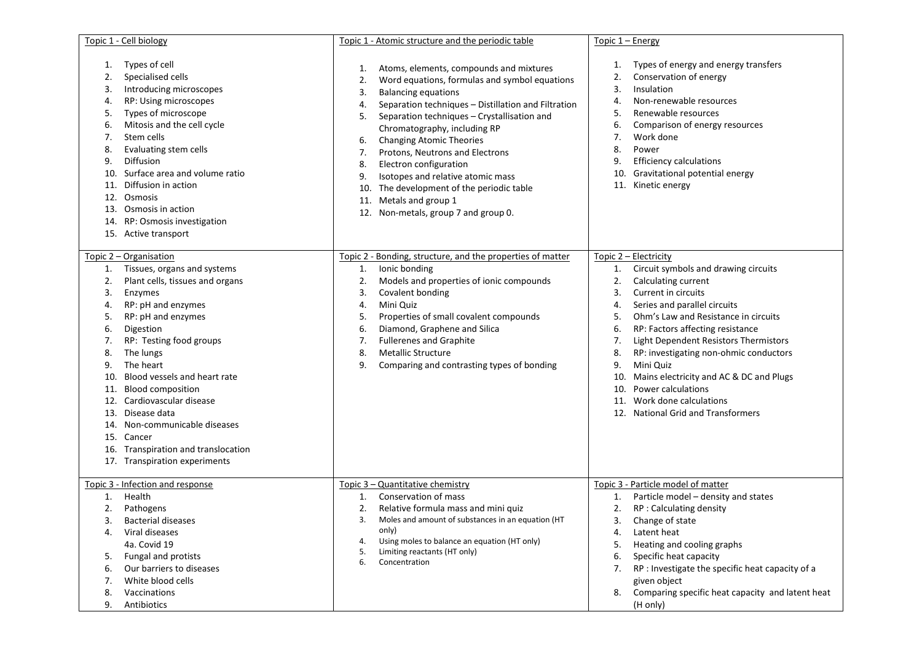| Topic 1 - Cell biology                                                                                                                      |                                                                                                                                                                                                                                                                                                                                                                                         |                                                                  | Topic 1 - Atomic structure and the periodic table                                                                                                                                                                                                                                                                                                                                                                                                                                                        | Topic 1 - Energy                                                        |                                                                                                                                                                                                                                                                                                                                                                                                                                                          |
|---------------------------------------------------------------------------------------------------------------------------------------------|-----------------------------------------------------------------------------------------------------------------------------------------------------------------------------------------------------------------------------------------------------------------------------------------------------------------------------------------------------------------------------------------|------------------------------------------------------------------|----------------------------------------------------------------------------------------------------------------------------------------------------------------------------------------------------------------------------------------------------------------------------------------------------------------------------------------------------------------------------------------------------------------------------------------------------------------------------------------------------------|-------------------------------------------------------------------------|----------------------------------------------------------------------------------------------------------------------------------------------------------------------------------------------------------------------------------------------------------------------------------------------------------------------------------------------------------------------------------------------------------------------------------------------------------|
| 1.<br>2.<br>3.<br>4.<br>5.<br>6.<br>7.<br>8.<br>Diffusion<br>9.<br>10.<br>11.<br>Osmosis<br>12.<br>13.<br>14.                               | Types of cell<br>Specialised cells<br>Introducing microscopes<br>RP: Using microscopes<br>Types of microscope<br>Mitosis and the cell cycle<br>Stem cells<br>Evaluating stem cells<br>Surface area and volume ratio<br>Diffusion in action<br>Osmosis in action<br>RP: Osmosis investigation<br>15. Active transport                                                                    | 1.<br>2.<br>3.<br>4.<br>5.<br>6.<br>7.<br>8.<br>9.<br>10.<br>11. | Atoms, elements, compounds and mixtures<br>Word equations, formulas and symbol equations<br><b>Balancing equations</b><br>Separation techniques - Distillation and Filtration<br>Separation techniques - Crystallisation and<br>Chromatography, including RP<br><b>Changing Atomic Theories</b><br>Protons, Neutrons and Electrons<br>Electron configuration<br>Isotopes and relative atomic mass<br>The development of the periodic table<br>Metals and group 1<br>12. Non-metals, group 7 and group 0. | 1.<br>2.<br>3.<br>4.<br>5.<br>6.<br>7.<br>8.<br>9.<br>10.               | Types of energy and energy transfers<br>Conservation of energy<br>Insulation<br>Non-renewable resources<br>Renewable resources<br>Comparison of energy resources<br>Work done<br>Power<br><b>Efficiency calculations</b><br>Gravitational potential energy<br>11. Kinetic energy                                                                                                                                                                         |
| Topic 2 - Organisation<br>1.<br>2.<br>Enzymes<br>3.<br>4.<br>5.<br>6.<br>7.<br>8.<br>9.<br>10.<br>11.<br>12.<br>13.<br>14.<br>Cancer<br>15. | Tissues, organs and systems<br>Plant cells, tissues and organs<br>RP: pH and enzymes<br>RP: pH and enzymes<br>Digestion<br>RP: Testing food groups<br>The lungs<br>The heart<br>Blood vessels and heart rate<br><b>Blood composition</b><br>Cardiovascular disease<br>Disease data<br>Non-communicable diseases<br>16. Transpiration and translocation<br>17. Transpiration experiments | 1.<br>2.<br>3.<br>4.<br>5.<br>6.<br>7.<br>8.<br>9.               | Topic 2 - Bonding, structure, and the properties of matter<br>Ionic bonding<br>Models and properties of ionic compounds<br>Covalent bonding<br>Mini Quiz<br>Properties of small covalent compounds<br>Diamond, Graphene and Silica<br><b>Fullerenes and Graphite</b><br><b>Metallic Structure</b><br>Comparing and contrasting types of bonding                                                                                                                                                          | 1.<br>2.<br>3.<br>4.<br>5.<br>6.<br>7.<br>8.<br>9.<br>10.<br>10.<br>11. | Topic 2 - Electricity<br>Circuit symbols and drawing circuits<br>Calculating current<br>Current in circuits<br>Series and parallel circuits<br>Ohm's Law and Resistance in circuits<br>RP: Factors affecting resistance<br>Light Dependent Resistors Thermistors<br>RP: investigating non-ohmic conductors<br>Mini Quiz<br>Mains electricity and AC & DC and Plugs<br>Power calculations<br>Work done calculations<br>12. National Grid and Transformers |
| Health<br>1.<br>2.<br>3.<br>4.<br>5.<br>6.<br>7.<br>8.<br>9.                                                                                | Topic 3 - Infection and response<br>Pathogens<br>Bacterial diseases<br>Viral diseases<br>4a. Covid 19<br>Fungal and protists<br>Our barriers to diseases<br>White blood cells<br>Vaccinations<br>Antibiotics                                                                                                                                                                            | 1.<br>2.<br>3.<br>4.<br>5.<br>6.                                 | Topic 3 - Quantitative chemistry<br>Conservation of mass<br>Relative formula mass and mini quiz<br>Moles and amount of substances in an equation (HT<br>only)<br>Using moles to balance an equation (HT only)<br>Limiting reactants (HT only)<br>Concentration                                                                                                                                                                                                                                           | 1.<br>2.<br>3.<br>4.<br>5.<br>6.<br>7.<br>8.                            | Topic 3 - Particle model of matter<br>Particle model - density and states<br>RP : Calculating density<br>Change of state<br>Latent heat<br>Heating and cooling graphs<br>Specific heat capacity<br>RP : Investigate the specific heat capacity of a<br>given object<br>Comparing specific heat capacity and latent heat<br>(H only)                                                                                                                      |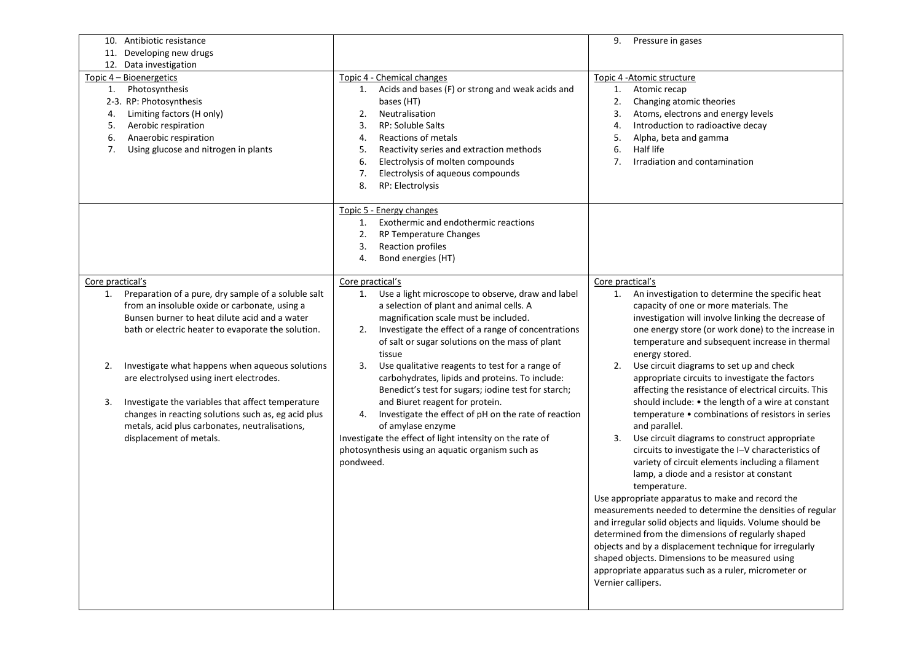| 10. Antibiotic resistance<br>11. Developing new drugs                                                                                                                                                                                                                                                                                                                                                                                                                                                                 |                                                                                                                                                                                                                                                                                                                                                                                                                                                                                                                                                                                                                                                                                              | 9.<br>Pressure in gases                                                                                                                                                                                                                                                                                                                                                                                                                                                                                                                                                                                                                                                                                                                                                                                                                                                                                                                                                                                                                                                                                                                                                                                                                |
|-----------------------------------------------------------------------------------------------------------------------------------------------------------------------------------------------------------------------------------------------------------------------------------------------------------------------------------------------------------------------------------------------------------------------------------------------------------------------------------------------------------------------|----------------------------------------------------------------------------------------------------------------------------------------------------------------------------------------------------------------------------------------------------------------------------------------------------------------------------------------------------------------------------------------------------------------------------------------------------------------------------------------------------------------------------------------------------------------------------------------------------------------------------------------------------------------------------------------------|----------------------------------------------------------------------------------------------------------------------------------------------------------------------------------------------------------------------------------------------------------------------------------------------------------------------------------------------------------------------------------------------------------------------------------------------------------------------------------------------------------------------------------------------------------------------------------------------------------------------------------------------------------------------------------------------------------------------------------------------------------------------------------------------------------------------------------------------------------------------------------------------------------------------------------------------------------------------------------------------------------------------------------------------------------------------------------------------------------------------------------------------------------------------------------------------------------------------------------------|
| 12. Data investigation                                                                                                                                                                                                                                                                                                                                                                                                                                                                                                |                                                                                                                                                                                                                                                                                                                                                                                                                                                                                                                                                                                                                                                                                              |                                                                                                                                                                                                                                                                                                                                                                                                                                                                                                                                                                                                                                                                                                                                                                                                                                                                                                                                                                                                                                                                                                                                                                                                                                        |
| Topic 4 - Bioenergetics<br>Photosynthesis<br>1.<br>2-3. RP: Photosynthesis<br>Limiting factors (H only)<br>4.<br>Aerobic respiration<br>5.<br>Anaerobic respiration<br>6.<br>Using glucose and nitrogen in plants<br>7.                                                                                                                                                                                                                                                                                               | Topic 4 - Chemical changes<br>Acids and bases (F) or strong and weak acids and<br>1.<br>bases (HT)<br>Neutralisation<br>2.<br>RP: Soluble Salts<br>3.<br>Reactions of metals<br>4.<br>5.<br>Reactivity series and extraction methods<br>Electrolysis of molten compounds<br>6.<br>Electrolysis of aqueous compounds<br>7.<br>RP: Electrolysis<br>8.                                                                                                                                                                                                                                                                                                                                          | Topic 4 - Atomic structure<br>Atomic recap<br>1.<br>Changing atomic theories<br>2.<br>Atoms, electrons and energy levels<br>3.<br>Introduction to radioactive decay<br>4.<br>Alpha, beta and gamma<br>5.<br>Half life<br>6.<br>Irradiation and contamination<br>7.                                                                                                                                                                                                                                                                                                                                                                                                                                                                                                                                                                                                                                                                                                                                                                                                                                                                                                                                                                     |
|                                                                                                                                                                                                                                                                                                                                                                                                                                                                                                                       | Topic 5 - Energy changes<br>Exothermic and endothermic reactions<br>1.<br>RP Temperature Changes<br>2.<br>Reaction profiles<br>3.<br>Bond energies (HT)<br>4.                                                                                                                                                                                                                                                                                                                                                                                                                                                                                                                                |                                                                                                                                                                                                                                                                                                                                                                                                                                                                                                                                                                                                                                                                                                                                                                                                                                                                                                                                                                                                                                                                                                                                                                                                                                        |
| Core practical's                                                                                                                                                                                                                                                                                                                                                                                                                                                                                                      | Core practical's                                                                                                                                                                                                                                                                                                                                                                                                                                                                                                                                                                                                                                                                             | Core practical's                                                                                                                                                                                                                                                                                                                                                                                                                                                                                                                                                                                                                                                                                                                                                                                                                                                                                                                                                                                                                                                                                                                                                                                                                       |
| Preparation of a pure, dry sample of a soluble salt<br>1.<br>from an insoluble oxide or carbonate, using a<br>Bunsen burner to heat dilute acid and a water<br>bath or electric heater to evaporate the solution.<br>Investigate what happens when aqueous solutions<br>2.<br>are electrolysed using inert electrodes.<br>Investigate the variables that affect temperature<br>3.<br>changes in reacting solutions such as, eg acid plus<br>metals, acid plus carbonates, neutralisations,<br>displacement of metals. | Use a light microscope to observe, draw and label<br>1.<br>a selection of plant and animal cells. A<br>magnification scale must be included.<br>Investigate the effect of a range of concentrations<br>2.<br>of salt or sugar solutions on the mass of plant<br>tissue<br>3.<br>Use qualitative reagents to test for a range of<br>carbohydrates, lipids and proteins. To include:<br>Benedict's test for sugars; iodine test for starch;<br>and Biuret reagent for protein.<br>Investigate the effect of pH on the rate of reaction<br>4.<br>of amylase enzyme<br>Investigate the effect of light intensity on the rate of<br>photosynthesis using an aquatic organism such as<br>pondweed. | An investigation to determine the specific heat<br>1.<br>capacity of one or more materials. The<br>investigation will involve linking the decrease of<br>one energy store (or work done) to the increase in<br>temperature and subsequent increase in thermal<br>energy stored.<br>Use circuit diagrams to set up and check<br>2.<br>appropriate circuits to investigate the factors<br>affecting the resistance of electrical circuits. This<br>should include: • the length of a wire at constant<br>temperature • combinations of resistors in series<br>and parallel.<br>Use circuit diagrams to construct appropriate<br>3.<br>circuits to investigate the I-V characteristics of<br>variety of circuit elements including a filament<br>lamp, a diode and a resistor at constant<br>temperature.<br>Use appropriate apparatus to make and record the<br>measurements needed to determine the densities of regular<br>and irregular solid objects and liquids. Volume should be<br>determined from the dimensions of regularly shaped<br>objects and by a displacement technique for irregularly<br>shaped objects. Dimensions to be measured using<br>appropriate apparatus such as a ruler, micrometer or<br>Vernier callipers. |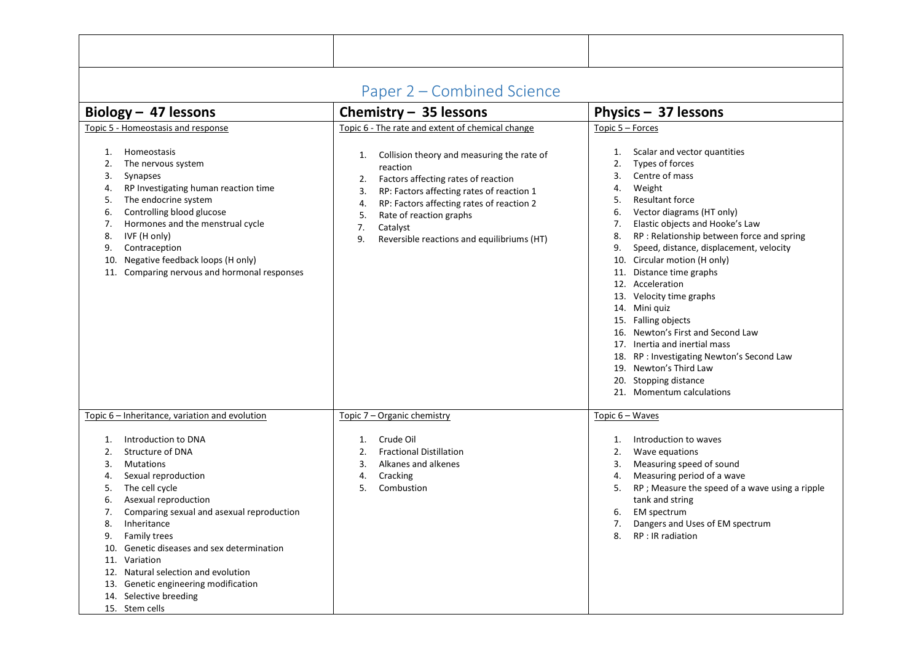<span id="page-21-0"></span>

| Paper 2 – Combined Science<br>Chemistry - 35 lessons<br>Physics - 37 lessons                                                                                                                                                                                                                                                                                                                                                                             |                                                                                                                                                                                                                                                                                                                                                                            |                                                                                                                                                                                                                                                                                                                                                                                                                                                                                                                                                                                                                                                                                                       |  |  |  |  |  |  |
|----------------------------------------------------------------------------------------------------------------------------------------------------------------------------------------------------------------------------------------------------------------------------------------------------------------------------------------------------------------------------------------------------------------------------------------------------------|----------------------------------------------------------------------------------------------------------------------------------------------------------------------------------------------------------------------------------------------------------------------------------------------------------------------------------------------------------------------------|-------------------------------------------------------------------------------------------------------------------------------------------------------------------------------------------------------------------------------------------------------------------------------------------------------------------------------------------------------------------------------------------------------------------------------------------------------------------------------------------------------------------------------------------------------------------------------------------------------------------------------------------------------------------------------------------------------|--|--|--|--|--|--|
| Biology $-$ 47 lessons                                                                                                                                                                                                                                                                                                                                                                                                                                   |                                                                                                                                                                                                                                                                                                                                                                            |                                                                                                                                                                                                                                                                                                                                                                                                                                                                                                                                                                                                                                                                                                       |  |  |  |  |  |  |
| Topic 5 - Homeostasis and response<br>Homeostasis<br>1.<br>The nervous system<br>2.<br>Synapses<br>3.<br>RP Investigating human reaction time<br>4.<br>The endocrine system<br>5.<br>Controlling blood glucose<br>6.<br>Hormones and the menstrual cycle<br>7.<br>IVF (H only)<br>8.<br>Contraception<br>9.<br>Negative feedback loops (H only)<br>10.<br>11. Comparing nervous and hormonal responses                                                   | Topic 6 - The rate and extent of chemical change<br>Collision theory and measuring the rate of<br>1.<br>reaction<br>Factors affecting rates of reaction<br>2.<br>RP: Factors affecting rates of reaction 1<br>3.<br>RP: Factors affecting rates of reaction 2<br>4.<br>5.<br>Rate of reaction graphs<br>7.<br>Catalyst<br>Reversible reactions and equilibriums (HT)<br>9. | Topic 5 - Forces<br>Scalar and vector quantities<br>1.<br>Types of forces<br>2.<br>Centre of mass<br>3.<br>Weight<br>4.<br><b>Resultant force</b><br>5.<br>Vector diagrams (HT only)<br>6.<br>Elastic objects and Hooke's Law<br>7.<br>RP : Relationship between force and spring<br>8.<br>Speed, distance, displacement, velocity<br>9.<br>10. Circular motion (H only)<br>11. Distance time graphs<br>12. Acceleration<br>13. Velocity time graphs<br>14. Mini quiz<br>15. Falling objects<br>16. Newton's First and Second Law<br>17. Inertia and inertial mass<br>RP: Investigating Newton's Second Law<br>18.<br>19. Newton's Third Law<br>Stopping distance<br>20.<br>21. Momentum calculations |  |  |  |  |  |  |
| Topic 6 - Inheritance, variation and evolution                                                                                                                                                                                                                                                                                                                                                                                                           | Topic 7 - Organic chemistry                                                                                                                                                                                                                                                                                                                                                | Topic 6 - Waves                                                                                                                                                                                                                                                                                                                                                                                                                                                                                                                                                                                                                                                                                       |  |  |  |  |  |  |
| Introduction to DNA<br>1.<br>Structure of DNA<br>2.<br><b>Mutations</b><br>3.<br>Sexual reproduction<br>4.<br>The cell cycle<br>5.<br>Asexual reproduction<br>6.<br>Comparing sexual and asexual reproduction<br>7.<br>8.<br>Inheritance<br>Family trees<br>9.<br>10. Genetic diseases and sex determination<br>11. Variation<br>12. Natural selection and evolution<br>13. Genetic engineering modification<br>14. Selective breeding<br>15. Stem cells | Crude Oil<br>1.<br><b>Fractional Distillation</b><br>2.<br>Alkanes and alkenes<br>3.<br>Cracking<br>4.<br>5.<br>Combustion                                                                                                                                                                                                                                                 | Introduction to waves<br>1.<br>Wave equations<br>2.<br>Measuring speed of sound<br>3.<br>Measuring period of a wave<br>4.<br>RP ; Measure the speed of a wave using a ripple<br>5.<br>tank and string<br>EM spectrum<br>6.<br>Dangers and Uses of EM spectrum<br>7.<br>RP : IR radiation<br>8.                                                                                                                                                                                                                                                                                                                                                                                                        |  |  |  |  |  |  |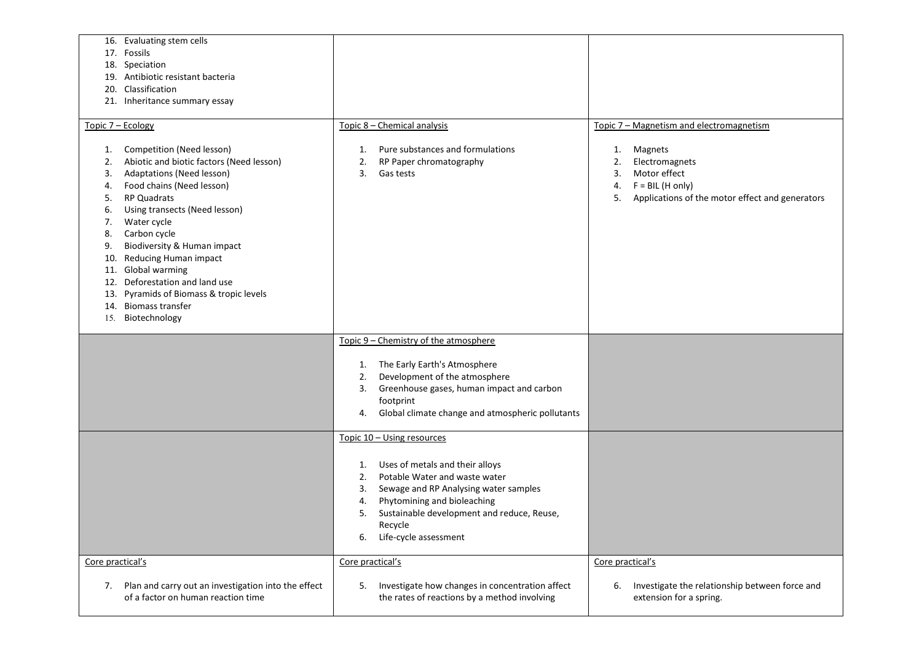| 16. Evaluating stem cells<br>17. Fossils<br>18. Speciation<br>19. Antibiotic resistant bacteria<br>20. Classification<br>21. Inheritance summary essay                                                                                                                                                                                                                                                                                                                                                     |                                                                                                                                                                                                                                                                                              |                                                                                                                                                                                              |
|------------------------------------------------------------------------------------------------------------------------------------------------------------------------------------------------------------------------------------------------------------------------------------------------------------------------------------------------------------------------------------------------------------------------------------------------------------------------------------------------------------|----------------------------------------------------------------------------------------------------------------------------------------------------------------------------------------------------------------------------------------------------------------------------------------------|----------------------------------------------------------------------------------------------------------------------------------------------------------------------------------------------|
| Topic 7 - Ecology<br>Competition (Need lesson)<br>1.<br>Abiotic and biotic factors (Need lesson)<br>2.<br>Adaptations (Need lesson)<br>3.<br>Food chains (Need lesson)<br>4.<br><b>RP Quadrats</b><br>5.<br>Using transects (Need lesson)<br>6.<br>Water cycle<br>7.<br>Carbon cycle<br>8.<br>Biodiversity & Human impact<br>9.<br>Reducing Human impact<br>10.<br>11. Global warming<br>Deforestation and land use<br>12.<br>Pyramids of Biomass & tropic levels<br>13.<br><b>Biomass transfer</b><br>14. | Topic 8 - Chemical analysis<br>Pure substances and formulations<br>1.<br>RP Paper chromatography<br>2.<br>Gas tests<br>3.                                                                                                                                                                    | Topic 7 - Magnetism and electromagnetism<br>Magnets<br>1.<br>Electromagnets<br>2.<br>Motor effect<br>3.<br>$F = BIL$ (H only)<br>4.<br>Applications of the motor effect and generators<br>5. |
| 15. Biotechnology                                                                                                                                                                                                                                                                                                                                                                                                                                                                                          |                                                                                                                                                                                                                                                                                              |                                                                                                                                                                                              |
|                                                                                                                                                                                                                                                                                                                                                                                                                                                                                                            | Topic 9 - Chemistry of the atmosphere<br>1. The Early Earth's Atmosphere<br>Development of the atmosphere<br>2.<br>Greenhouse gases, human impact and carbon<br>3.<br>footprint<br>Global climate change and atmospheric pollutants<br>4.                                                    |                                                                                                                                                                                              |
|                                                                                                                                                                                                                                                                                                                                                                                                                                                                                                            | Topic 10 - Using resources<br>Uses of metals and their alloys<br>1.<br>Potable Water and waste water<br>2.<br>Sewage and RP Analysing water samples<br>3.<br>Phytomining and bioleaching<br>4.<br>Sustainable development and reduce, Reuse,<br>5.<br>Recycle<br>Life-cycle assessment<br>6. |                                                                                                                                                                                              |
| Core practical's<br>Plan and carry out an investigation into the effect<br>7.<br>of a factor on human reaction time                                                                                                                                                                                                                                                                                                                                                                                        | Core practical's<br>Investigate how changes in concentration affect<br>5.<br>the rates of reactions by a method involving                                                                                                                                                                    | Core practical's<br>6.<br>Investigate the relationship between force and<br>extension for a spring.                                                                                          |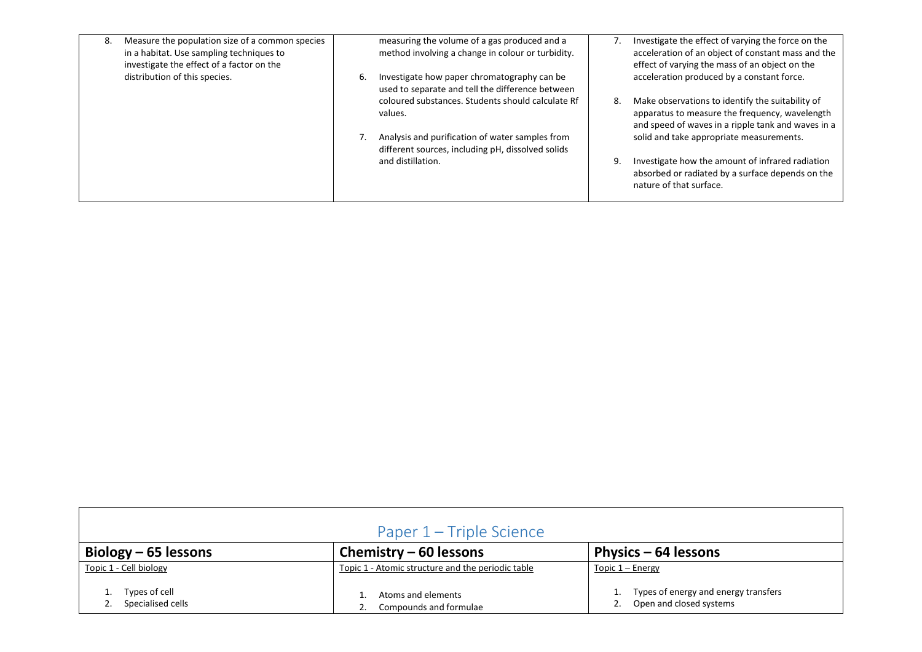| 8. | Measure the population size of a common species<br>in a habitat. Use sampling techniques to<br>investigate the effect of a factor on the |    | measuring the volume of a gas produced and a<br>method involving a change in colour or turbidity.    |    | Investigate the effect of varying the force on the<br>acceleration of an object of constant mass and the<br>effect of varying the mass of an object on the |
|----|------------------------------------------------------------------------------------------------------------------------------------------|----|------------------------------------------------------------------------------------------------------|----|------------------------------------------------------------------------------------------------------------------------------------------------------------|
|    | distribution of this species.                                                                                                            | 6. | Investigate how paper chromatography can be<br>used to separate and tell the difference between      |    | acceleration produced by a constant force.                                                                                                                 |
|    |                                                                                                                                          |    | coloured substances. Students should calculate Rf<br>values.                                         | 8. | Make observations to identify the suitability of<br>apparatus to measure the frequency, wavelength<br>and speed of waves in a ripple tank and waves in a   |
|    |                                                                                                                                          |    | Analysis and purification of water samples from<br>different sources, including pH, dissolved solids |    | solid and take appropriate measurements.                                                                                                                   |
|    |                                                                                                                                          |    | and distillation.                                                                                    | 9. | Investigate how the amount of infrared radiation<br>absorbed or radiated by a surface depends on the<br>nature of that surface.                            |

<span id="page-23-0"></span>

| Paper 1 – Triple Science           |                                                   |                                                                 |  |  |  |  |  |
|------------------------------------|---------------------------------------------------|-----------------------------------------------------------------|--|--|--|--|--|
| Biology $-65$ lessons              | Chemistry $-60$ lessons                           | Physics $-64$ lessons                                           |  |  |  |  |  |
| Topic 1 - Cell biology             | Topic 1 - Atomic structure and the periodic table | Topic $1 -$ Energy                                              |  |  |  |  |  |
| Types of cell<br>Specialised cells | Atoms and elements<br>Compounds and formulae      | Types of energy and energy transfers<br>Open and closed systems |  |  |  |  |  |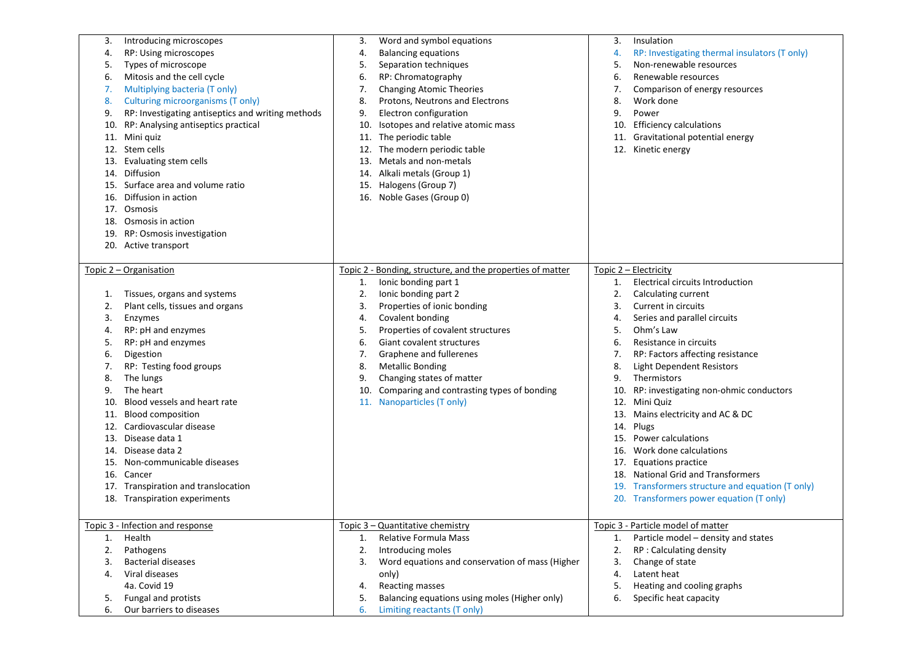| 3.  | Introducing microscopes                           | 3.  | Word and symbol equations                                  | 3.  | Insulation                                       |
|-----|---------------------------------------------------|-----|------------------------------------------------------------|-----|--------------------------------------------------|
| 4.  | RP: Using microscopes                             | 4.  | <b>Balancing equations</b>                                 | 4.  | RP: Investigating thermal insulators (T only)    |
| 5.  | Types of microscope                               | 5.  | Separation techniques                                      | 5.  | Non-renewable resources                          |
| 6.  | Mitosis and the cell cycle                        | 6.  | RP: Chromatography                                         | 6.  | Renewable resources                              |
| 7.  | Multiplying bacteria (T only)                     | 7.  | <b>Changing Atomic Theories</b>                            | 7.  | Comparison of energy resources                   |
| 8.  | Culturing microorganisms (T only)                 | 8.  | Protons, Neutrons and Electrons                            | 8.  | Work done                                        |
| 9.  | RP: Investigating antiseptics and writing methods | 9.  | Electron configuration                                     | 9.  | Power                                            |
| 10. | RP: Analysing antiseptics practical               | 10. | Isotopes and relative atomic mass                          | 10. | <b>Efficiency calculations</b>                   |
| 11. | Mini quiz                                         |     | 11. The periodic table                                     | 11. | Gravitational potential energy                   |
| 12. | Stem cells                                        | 12. | The modern periodic table                                  |     | 12. Kinetic energy                               |
| 13. | Evaluating stem cells                             | 13. | Metals and non-metals                                      |     |                                                  |
| 14. | Diffusion                                         |     | 14. Alkali metals (Group 1)                                |     |                                                  |
|     | Surface area and volume ratio                     |     |                                                            |     |                                                  |
| 15. |                                                   |     | 15. Halogens (Group 7)                                     |     |                                                  |
| 16. | Diffusion in action                               |     | 16. Noble Gases (Group 0)                                  |     |                                                  |
| 17. | Osmosis                                           |     |                                                            |     |                                                  |
|     | 18. Osmosis in action                             |     |                                                            |     |                                                  |
|     | 19. RP: Osmosis investigation                     |     |                                                            |     |                                                  |
|     | 20. Active transport                              |     |                                                            |     |                                                  |
|     |                                                   |     |                                                            |     |                                                  |
|     | Topic 2 - Organisation                            |     | Topic 2 - Bonding, structure, and the properties of matter |     | Topic 2 - Electricity                            |
|     |                                                   | 1.  | Ionic bonding part 1                                       | 1.  | <b>Electrical circuits Introduction</b>          |
| 1.  | Tissues, organs and systems                       | 2.  | Ionic bonding part 2                                       | 2.  | Calculating current                              |
| 2.  | Plant cells, tissues and organs                   | 3.  | Properties of ionic bonding                                | 3.  | Current in circuits                              |
| 3.  | Enzymes                                           | 4.  | Covalent bonding                                           | 4.  | Series and parallel circuits                     |
| 4.  | RP: pH and enzymes                                | 5.  | Properties of covalent structures                          | 5.  | Ohm's Law                                        |
| 5.  | RP: pH and enzymes                                | 6.  | Giant covalent structures                                  | 6.  | Resistance in circuits                           |
| 6.  | Digestion                                         | 7.  | Graphene and fullerenes                                    | 7.  | RP: Factors affecting resistance                 |
| 7.  | RP: Testing food groups                           | 8.  | <b>Metallic Bonding</b>                                    | 8.  | <b>Light Dependent Resistors</b>                 |
| 8.  | The lungs                                         | 9.  | Changing states of matter                                  | 9.  | Thermistors                                      |
| 9.  | The heart                                         | 10. | Comparing and contrasting types of bonding                 | 10. | RP: investigating non-ohmic conductors           |
| 10. | Blood vessels and heart rate                      |     | 11. Nanoparticles (T only)                                 |     | 12. Mini Quiz                                    |
|     | <b>Blood composition</b>                          |     |                                                            | 13. | Mains electricity and AC & DC                    |
| 11. | Cardiovascular disease                            |     |                                                            |     |                                                  |
| 12. |                                                   |     |                                                            | 14. | Plugs                                            |
| 13. | Disease data 1                                    |     |                                                            | 15. | <b>Power calculations</b>                        |
| 14. | Disease data 2                                    |     |                                                            | 16. | Work done calculations                           |
| 15. | Non-communicable diseases                         |     |                                                            | 17. | Equations practice                               |
|     | 16. Cancer                                        |     |                                                            |     | 18. National Grid and Transformers               |
|     | 17. Transpiration and translocation               |     |                                                            |     | 19. Transformers structure and equation (T only) |
|     | 18. Transpiration experiments                     |     |                                                            |     | 20. Transformers power equation (T only)         |
|     |                                                   |     |                                                            |     |                                                  |
|     | Topic 3 - Infection and response                  |     | Topic 3 – Quantitative chemistry                           |     | Topic 3 - Particle model of matter               |
| 1.  | Health                                            | 1.  | Relative Formula Mass                                      | 1.  | Particle model – density and states              |
| 2.  | Pathogens                                         | 2.  | Introducing moles                                          | 2.  | RP : Calculating density                         |
| 3.  | <b>Bacterial diseases</b>                         | 3.  | Word equations and conservation of mass (Higher            | 3.  | Change of state                                  |
| 4.  | Viral diseases                                    |     | only)                                                      | 4.  | Latent heat                                      |
|     | 4a. Covid 19                                      | 4.  | <b>Reacting masses</b>                                     | 5.  | Heating and cooling graphs                       |
|     |                                                   |     | Balancing equations using moles (Higher only)              |     |                                                  |
| 5.  | Fungal and protists                               | 5.  |                                                            | 6.  | Specific heat capacity                           |
| 6.  | Our barriers to diseases                          | 6.  | Limiting reactants (T only)                                |     |                                                  |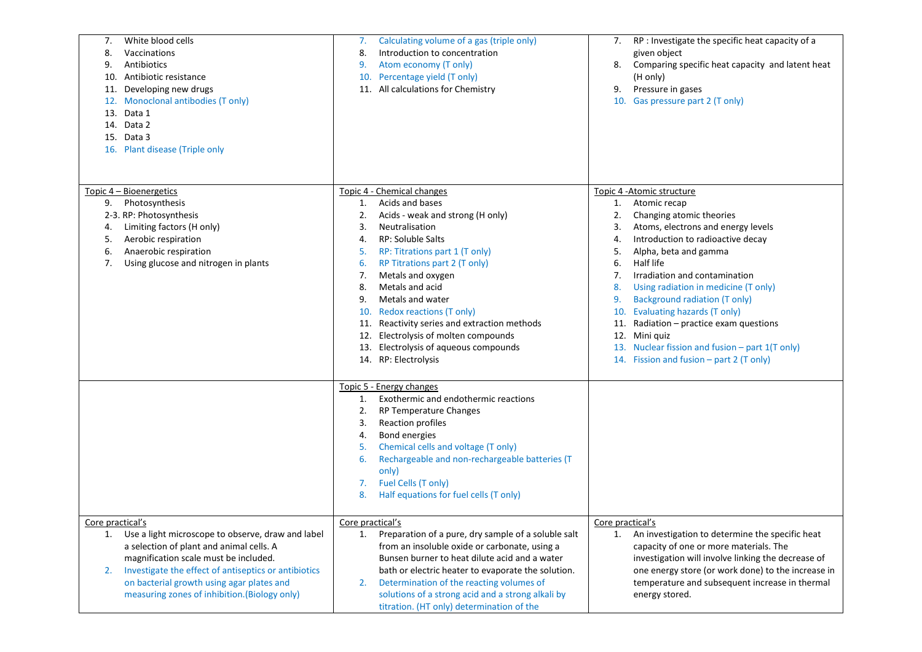| White blood cells<br>7.<br>Vaccinations<br>8.<br>Antibiotics<br>9.<br>Antibiotic resistance<br>10.<br>Developing new drugs<br>11.<br>Monoclonal antibodies (T only)<br>12.<br>Data 1<br>13.<br>14. Data 2<br>15. Data 3<br>16. Plant disease (Triple only                                                | Calculating volume of a gas (triple only)<br>7.<br>Introduction to concentration<br>8.<br>Atom economy (T only)<br>9.<br>10. Percentage yield (T only)<br>11. All calculations for Chemistry                                                                                                                                                                                                                                                                                                           | RP : Investigate the specific heat capacity of a<br>7.<br>given object<br>Comparing specific heat capacity and latent heat<br>8.<br>(H only)<br>Pressure in gases<br>9.<br>10. Gas pressure part 2 (T only)                                                                                                                                                                                                                                                                                                                                                          |
|----------------------------------------------------------------------------------------------------------------------------------------------------------------------------------------------------------------------------------------------------------------------------------------------------------|--------------------------------------------------------------------------------------------------------------------------------------------------------------------------------------------------------------------------------------------------------------------------------------------------------------------------------------------------------------------------------------------------------------------------------------------------------------------------------------------------------|----------------------------------------------------------------------------------------------------------------------------------------------------------------------------------------------------------------------------------------------------------------------------------------------------------------------------------------------------------------------------------------------------------------------------------------------------------------------------------------------------------------------------------------------------------------------|
| Topic 4 - Bioenergetics<br>Photosynthesis<br>9.<br>2-3. RP: Photosynthesis<br>Limiting factors (H only)<br>4.<br>Aerobic respiration<br>5.<br>Anaerobic respiration<br>6.<br>Using glucose and nitrogen in plants<br>7.                                                                                  | Topic 4 - Chemical changes<br>Acids and bases<br>1.<br>2.<br>Acids - weak and strong (H only)<br>3.<br>Neutralisation<br>RP: Soluble Salts<br>4.<br>RP: Titrations part 1 (T only)<br>5.<br>RP Titrations part 2 (T only)<br>6.<br>Metals and oxygen<br>7.<br>Metals and acid<br>8.<br>Metals and water<br>9.<br>10. Redox reactions (T only)<br>11. Reactivity series and extraction methods<br>12. Electrolysis of molten compounds<br>13. Electrolysis of aqueous compounds<br>14. RP: Electrolysis | Topic 4 - Atomic structure<br>Atomic recap<br>1.<br>2.<br>Changing atomic theories<br>Atoms, electrons and energy levels<br>3.<br>Introduction to radioactive decay<br>4.<br>Alpha, beta and gamma<br>5.<br>Half life<br>6.<br>Irradiation and contamination<br>7.<br>Using radiation in medicine (T only)<br>8.<br><b>Background radiation (T only)</b><br>9.<br>10. Evaluating hazards (T only)<br>Radiation $-$ practice exam questions<br>11.<br>Mini quiz<br>12.<br>13. Nuclear fission and fusion - part 1(T only)<br>14. Fission and fusion – part 2 (T only) |
| Core practical's                                                                                                                                                                                                                                                                                         | Topic 5 - Energy changes<br>Exothermic and endothermic reactions<br>1.<br>2.<br>RP Temperature Changes<br>Reaction profiles<br>3.<br>Bond energies<br>4.<br>Chemical cells and voltage (T only)<br>5.<br>Rechargeable and non-rechargeable batteries (T<br>6.<br>only)<br>Fuel Cells (T only)<br>7.<br>Half equations for fuel cells (T only)<br>8.<br>Core practical's                                                                                                                                | Core practical's                                                                                                                                                                                                                                                                                                                                                                                                                                                                                                                                                     |
| Use a light microscope to observe, draw and label<br>1.<br>a selection of plant and animal cells. A<br>magnification scale must be included.<br>Investigate the effect of antiseptics or antibiotics<br>2.<br>on bacterial growth using agar plates and<br>measuring zones of inhibition. (Biology only) | Preparation of a pure, dry sample of a soluble salt<br>1.<br>from an insoluble oxide or carbonate, using a<br>Bunsen burner to heat dilute acid and a water<br>bath or electric heater to evaporate the solution.<br>Determination of the reacting volumes of<br>2.<br>solutions of a strong acid and a strong alkali by<br>titration. (HT only) determination of the                                                                                                                                  | An investigation to determine the specific heat<br>1.<br>capacity of one or more materials. The<br>investigation will involve linking the decrease of<br>one energy store (or work done) to the increase in<br>temperature and subsequent increase in thermal<br>energy stored.                                                                                                                                                                                                                                                                                      |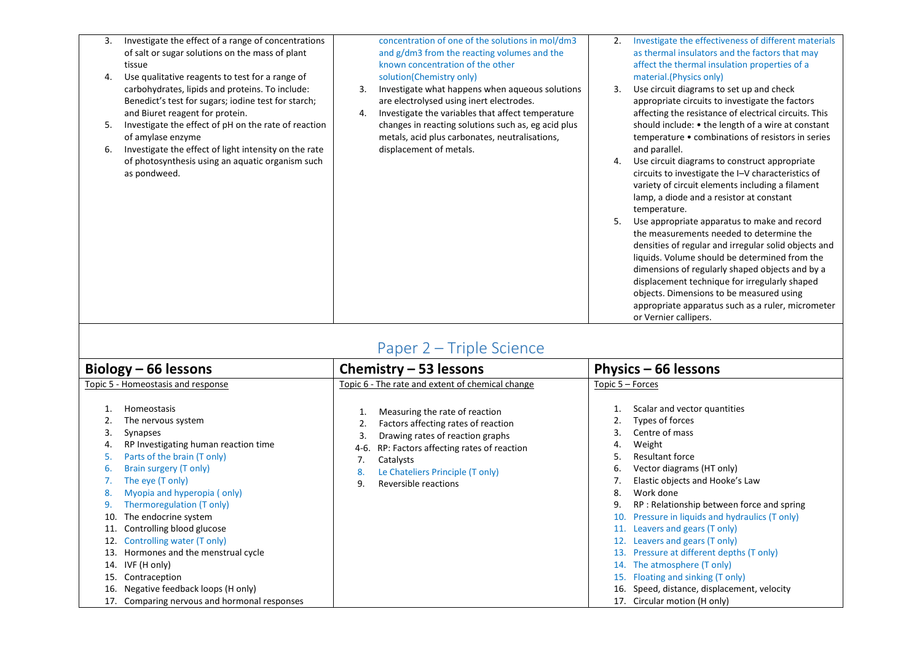| 3.<br>4. | Investigate the effect of a range of concentrations<br>of salt or sugar solutions on the mass of plant<br>tissue<br>Use qualitative reagents to test for a range of |          | concentration of one of the solutions in mol/dm3<br>and g/dm3 from the reacting volumes and the<br>known concentration of the other<br>solution(Chemistry only) | 2. | Investigate the effectiveness of different materials<br>as thermal insulators and the factors that may<br>affect the thermal insulation properties of a<br>material.(Physics only)                                                                                                                                                                                                                                              |
|----------|---------------------------------------------------------------------------------------------------------------------------------------------------------------------|----------|-----------------------------------------------------------------------------------------------------------------------------------------------------------------|----|---------------------------------------------------------------------------------------------------------------------------------------------------------------------------------------------------------------------------------------------------------------------------------------------------------------------------------------------------------------------------------------------------------------------------------|
|          | carbohydrates, lipids and proteins. To include:<br>Benedict's test for sugars; iodine test for starch;<br>and Biuret reagent for protein.                           | 3.<br>4. | Investigate what happens when aqueous solutions<br>are electrolysed using inert electrodes.<br>Investigate the variables that affect temperature                | 3. | Use circuit diagrams to set up and check<br>appropriate circuits to investigate the factors<br>affecting the resistance of electrical circuits. This                                                                                                                                                                                                                                                                            |
| 5.       | Investigate the effect of pH on the rate of reaction<br>of amylase enzyme                                                                                           |          | changes in reacting solutions such as, eg acid plus<br>metals, acid plus carbonates, neutralisations,                                                           |    | should include: • the length of a wire at constant<br>temperature • combinations of resistors in series                                                                                                                                                                                                                                                                                                                         |
| 6.       | Investigate the effect of light intensity on the rate<br>of photosynthesis using an aquatic organism such<br>as pondweed.                                           |          | displacement of metals.                                                                                                                                         | 4. | and parallel.<br>Use circuit diagrams to construct appropriate<br>circuits to investigate the I-V characteristics of<br>variety of circuit elements including a filament<br>lamp, a diode and a resistor at constant<br>temperature.                                                                                                                                                                                            |
|          |                                                                                                                                                                     |          |                                                                                                                                                                 |    | Use appropriate apparatus to make and record<br>the measurements needed to determine the<br>densities of regular and irregular solid objects and<br>liquids. Volume should be determined from the<br>dimensions of regularly shaped objects and by a<br>displacement technique for irregularly shaped<br>objects. Dimensions to be measured using<br>appropriate apparatus such as a ruler, micrometer<br>or Vernier callipers. |

## Paper 2 – Triple Science

<span id="page-26-0"></span>

| Biology – 66 lessons                                                  |                                                                                                                                                                                                                                                                                                                                                                                                                                                                            | Chemistry $-53$ lessons                                                                                                                                                                                                                                | Physics – 66 lessons                                                                                                                                                                                                                                                                                                                                                                                                                                                                                                                                                                       |
|-----------------------------------------------------------------------|----------------------------------------------------------------------------------------------------------------------------------------------------------------------------------------------------------------------------------------------------------------------------------------------------------------------------------------------------------------------------------------------------------------------------------------------------------------------------|--------------------------------------------------------------------------------------------------------------------------------------------------------------------------------------------------------------------------------------------------------|--------------------------------------------------------------------------------------------------------------------------------------------------------------------------------------------------------------------------------------------------------------------------------------------------------------------------------------------------------------------------------------------------------------------------------------------------------------------------------------------------------------------------------------------------------------------------------------------|
| Topic 5 - Homeostasis and response                                    |                                                                                                                                                                                                                                                                                                                                                                                                                                                                            | Topic 6 - The rate and extent of chemical change                                                                                                                                                                                                       | Topic 5 - Forces                                                                                                                                                                                                                                                                                                                                                                                                                                                                                                                                                                           |
| 3.<br>4.<br>ь.<br>8.<br>10.<br>11.<br>12.<br>13.<br>14.<br>15.<br>16. | Homeostasis<br>The nervous system<br>Synapses<br>RP Investigating human reaction time<br>Parts of the brain (T only)<br>Brain surgery (T only)<br>The eye (T only)<br>Myopia and hyperopia (only)<br>Thermoregulation (T only)<br>The endocrine system<br>Controlling blood glucose<br>Controlling water (T only)<br>Hormones and the menstrual cycle<br>IVF (H only)<br>Contraception<br>Negative feedback loops (H only)<br>17. Comparing nervous and hormonal responses | Measuring the rate of reaction<br>Factors affecting rates of reaction<br>Drawing rates of reaction graphs<br>3.<br>RP: Factors affecting rates of reaction<br>4-6.<br>Catalysts<br>Le Chateliers Principle (T only)<br>8.<br>Reversible reactions<br>9 | Scalar and vector quantities<br>Types of forces<br>Centre of mass<br>3.<br>Weight<br>4.<br><b>Resultant force</b><br>5.<br>Vector diagrams (HT only)<br>6.<br>Elastic objects and Hooke's Law<br>Work done<br>8.<br>RP: Relationship between force and spring<br>9.<br>Pressure in liquids and hydraulics (T only)<br>Leavers and gears (T only)<br>11.<br>Leavers and gears (T only)<br>Pressure at different depths (T only)<br>13.<br>The atmosphere (T only)<br>14.<br>Floating and sinking (T only)<br>Speed, distance, displacement, velocity<br>16.<br>17. Circular motion (H only) |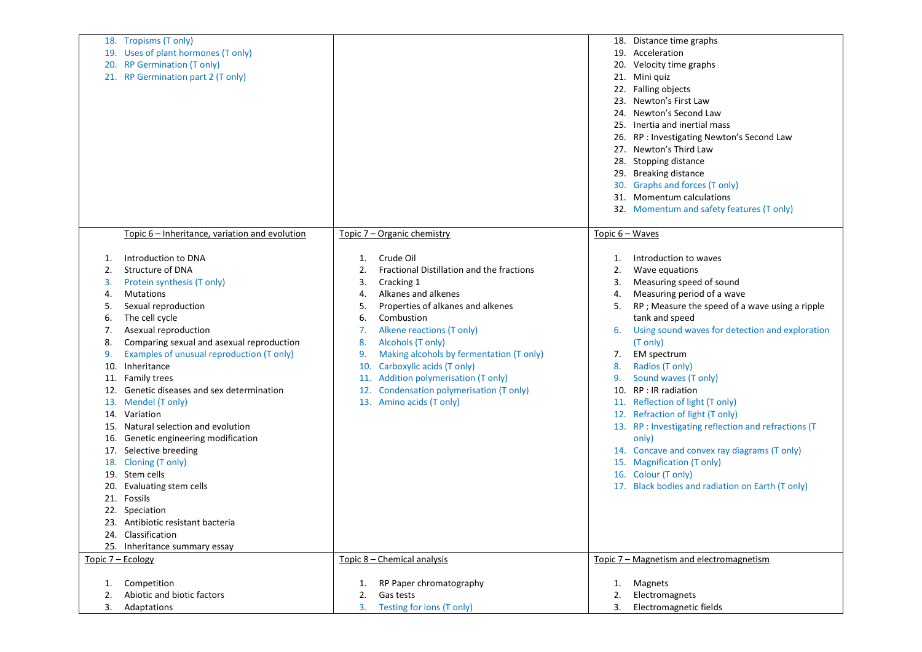|                   | 18. Tropisms (T only)                          |     |                                           |                   | 18. Distance time graphs                             |
|-------------------|------------------------------------------------|-----|-------------------------------------------|-------------------|------------------------------------------------------|
|                   | 19. Uses of plant hormones (T only)            |     |                                           |                   | 19. Acceleration                                     |
|                   | 20. RP Germination (T only)                    |     |                                           |                   | 20. Velocity time graphs                             |
|                   | 21. RP Germination part 2 (T only)             |     |                                           |                   | 21. Mini quiz                                        |
|                   |                                                |     |                                           |                   | 22. Falling objects                                  |
|                   |                                                |     |                                           | 23.               | Newton's First Law                                   |
|                   |                                                |     |                                           |                   | 24. Newton's Second Law                              |
|                   |                                                |     |                                           | 25.               | Inertia and inertial mass                            |
|                   |                                                |     |                                           | 26.               | RP : Investigating Newton's Second Law               |
|                   |                                                |     |                                           |                   | 27. Newton's Third Law                               |
|                   |                                                |     |                                           |                   | 28. Stopping distance                                |
|                   |                                                |     |                                           |                   |                                                      |
|                   |                                                |     |                                           | 29.               | <b>Breaking distance</b>                             |
|                   |                                                |     |                                           | 30.               | Graphs and forces (T only)                           |
|                   |                                                |     |                                           |                   | 31. Momentum calculations                            |
|                   |                                                |     |                                           |                   | 32. Momentum and safety features (T only)            |
|                   |                                                |     |                                           |                   |                                                      |
|                   | Topic 6 – Inheritance, variation and evolution |     | Topic 7 – Organic chemistry               | Topic $6 - Waves$ |                                                      |
|                   |                                                |     |                                           |                   |                                                      |
| 1.                | Introduction to DNA                            | 1.  | Crude Oil                                 | 1.                | Introduction to waves                                |
| 2.                | Structure of DNA                               | 2.  | Fractional Distillation and the fractions | 2.                | Wave equations                                       |
| 3.                | Protein synthesis (T only)                     | 3.  | Cracking 1                                | 3.                | Measuring speed of sound                             |
| 4.                | <b>Mutations</b>                               | 4.  | Alkanes and alkenes                       | 4.                | Measuring period of a wave                           |
| 5.                | Sexual reproduction                            | 5.  | Properties of alkanes and alkenes         | 5.                | RP ; Measure the speed of a wave using a ripple      |
| 6.                | The cell cycle                                 | 6.  | Combustion                                |                   | tank and speed                                       |
| 7.                | Asexual reproduction                           | 7.  | Alkene reactions (T only)                 | 6.                | Using sound waves for detection and exploration      |
| 8.                | Comparing sexual and asexual reproduction      | 8.  | Alcohols (T only)                         |                   | (T only)                                             |
| 9.                | Examples of unusual reproduction (T only)      | 9.  | Making alcohols by fermentation (T only)  | 7.                | EM spectrum                                          |
| 10.               | Inheritance                                    | 10. | Carboxylic acids (T only)                 | 8.                | Radios (T only)                                      |
|                   | 11. Family trees                               |     | 11. Addition polymerisation (T only)      | 9.                | Sound waves (T only)                                 |
| 12.               | Genetic diseases and sex determination         | 12. | Condensation polymerisation (T only)      | 10.               | RP : IR radiation                                    |
|                   | 13. Mendel (T only)                            |     | 13. Amino acids (T only)                  |                   | 11. Reflection of light (T only)                     |
|                   | 14. Variation                                  |     |                                           |                   | 12. Refraction of light (T only)                     |
| 15.               | Natural selection and evolution                |     |                                           |                   | 13. RP : Investigating reflection and refractions (T |
|                   | 16. Genetic engineering modification           |     |                                           |                   | only)                                                |
|                   | 17. Selective breeding                         |     |                                           |                   | 14. Concave and convex ray diagrams (T only)         |
|                   | 18. Cloning (T only)                           |     |                                           |                   | 15. Magnification (T only)                           |
|                   | 19. Stem cells                                 |     |                                           |                   | 16. Colour (T only)                                  |
| 20.               | Evaluating stem cells                          |     |                                           |                   | 17. Black bodies and radiation on Earth (T only)     |
|                   | 21. Fossils                                    |     |                                           |                   |                                                      |
|                   | 22. Speciation                                 |     |                                           |                   |                                                      |
|                   | 23. Antibiotic resistant bacteria              |     |                                           |                   |                                                      |
|                   | 24. Classification                             |     |                                           |                   |                                                      |
|                   | 25. Inheritance summary essay                  |     |                                           |                   |                                                      |
| Topic 7 - Ecology |                                                |     | Topic 8 - Chemical analysis               |                   | Topic 7 - Magnetism and electromagnetism             |
|                   |                                                |     |                                           |                   |                                                      |
| 1.                | Competition                                    | 1.  | RP Paper chromatography                   | 1.                | Magnets                                              |
| 2.                | Abiotic and biotic factors                     | 2.  | Gas tests                                 | 2.                | Electromagnets                                       |
| 3.                | Adaptations                                    |     | 3. Testing for ions (T only)              | 3.                | Electromagnetic fields                               |
|                   |                                                |     |                                           |                   |                                                      |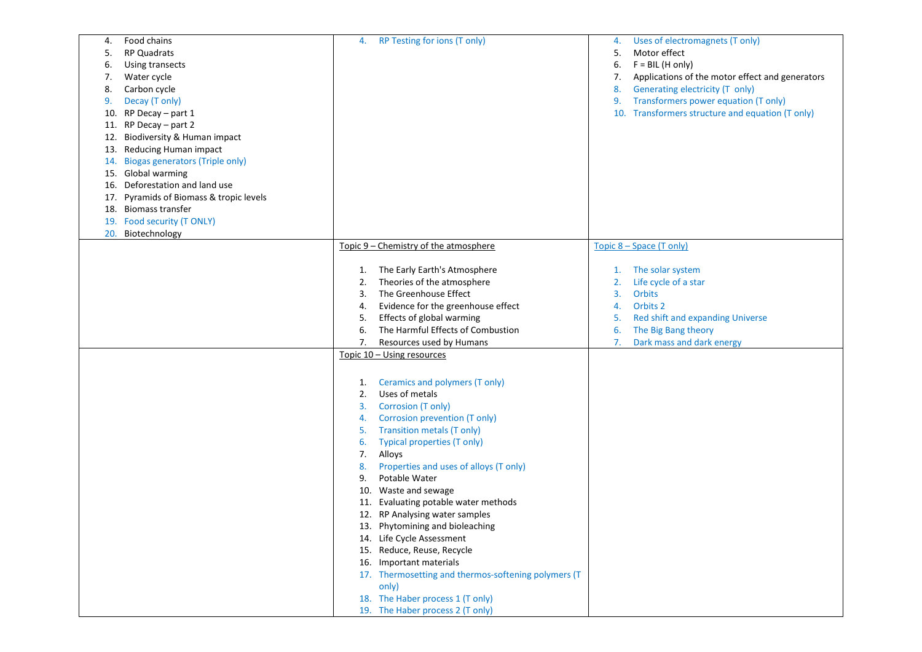| Food chains<br>4.                             | RP Testing for ions (T only)<br>4.                                   | Uses of electromagnets (T only)<br>4.                 |
|-----------------------------------------------|----------------------------------------------------------------------|-------------------------------------------------------|
| <b>RP Quadrats</b><br>5.                      |                                                                      | Motor effect<br>5.                                    |
| Using transects<br>6.                         |                                                                      | $F = BIL$ (H only)<br>6.                              |
| Water cycle<br>7.                             |                                                                      | Applications of the motor effect and generators<br>7. |
| Carbon cycle<br>8.                            |                                                                      | Generating electricity (T only)<br>8.                 |
| Decay (T only)<br>9.                          |                                                                      | Transformers power equation (T only)<br>9.            |
| 10. RP Decay - part 1                         |                                                                      | 10. Transformers structure and equation (T only)      |
| 11. RP Decay - part 2                         |                                                                      |                                                       |
|                                               |                                                                      |                                                       |
| Biodiversity & Human impact<br>12.            |                                                                      |                                                       |
| Reducing Human impact<br>13.                  |                                                                      |                                                       |
| <b>Biogas generators (Triple only)</b><br>14. |                                                                      |                                                       |
| 15. Global warming                            |                                                                      |                                                       |
| 16. Deforestation and land use                |                                                                      |                                                       |
| 17. Pyramids of Biomass & tropic levels       |                                                                      |                                                       |
| 18. Biomass transfer                          |                                                                      |                                                       |
| 19. Food security (T ONLY)                    |                                                                      |                                                       |
| 20. Biotechnology                             |                                                                      |                                                       |
|                                               | Topic 9 – Chemistry of the atmosphere                                | Topic 8 – Space (T only)                              |
|                                               |                                                                      |                                                       |
|                                               | The Early Earth's Atmosphere<br>1.                                   | The solar system<br>1.                                |
|                                               | Theories of the atmosphere<br>2.                                     | Life cycle of a star<br>2.                            |
|                                               | The Greenhouse Effect<br>3.                                          | <b>Orbits</b><br>3.                                   |
|                                               | Evidence for the greenhouse effect<br>4.                             | Orbits 2<br>4.                                        |
|                                               | Effects of global warming<br>5.                                      | Red shift and expanding Universe<br>5.                |
|                                               | The Harmful Effects of Combustion<br>6.                              | The Big Bang theory<br>6.                             |
|                                               | Resources used by Humans<br>7.                                       | Dark mass and dark energy<br>7.                       |
|                                               | Topic 10 - Using resources                                           |                                                       |
|                                               |                                                                      |                                                       |
|                                               |                                                                      |                                                       |
|                                               | Ceramics and polymers (T only)<br>1.                                 |                                                       |
|                                               | Uses of metals<br>2.                                                 |                                                       |
|                                               | Corrosion (T only)<br>3.                                             |                                                       |
|                                               | Corrosion prevention (T only)<br>4.                                  |                                                       |
|                                               | <b>Transition metals (T only)</b><br>5.                              |                                                       |
|                                               | Typical properties (T only)<br>6.                                    |                                                       |
|                                               | 7.<br>Alloys                                                         |                                                       |
|                                               | Properties and uses of alloys (T only)<br>8.                         |                                                       |
|                                               | Potable Water<br>9.                                                  |                                                       |
|                                               | 10. Waste and sewage                                                 |                                                       |
|                                               | 11. Evaluating potable water methods                                 |                                                       |
|                                               | 12. RP Analysing water samples                                       |                                                       |
|                                               | 13. Phytomining and bioleaching                                      |                                                       |
|                                               | 14. Life Cycle Assessment                                            |                                                       |
|                                               | 15. Reduce, Reuse, Recycle                                           |                                                       |
|                                               | 16. Important materials                                              |                                                       |
|                                               | 17. Thermosetting and thermos-softening polymers (T                  |                                                       |
|                                               | only)                                                                |                                                       |
|                                               |                                                                      |                                                       |
|                                               |                                                                      |                                                       |
|                                               | 18. The Haber process 1 (T only)<br>19. The Haber process 2 (T only) |                                                       |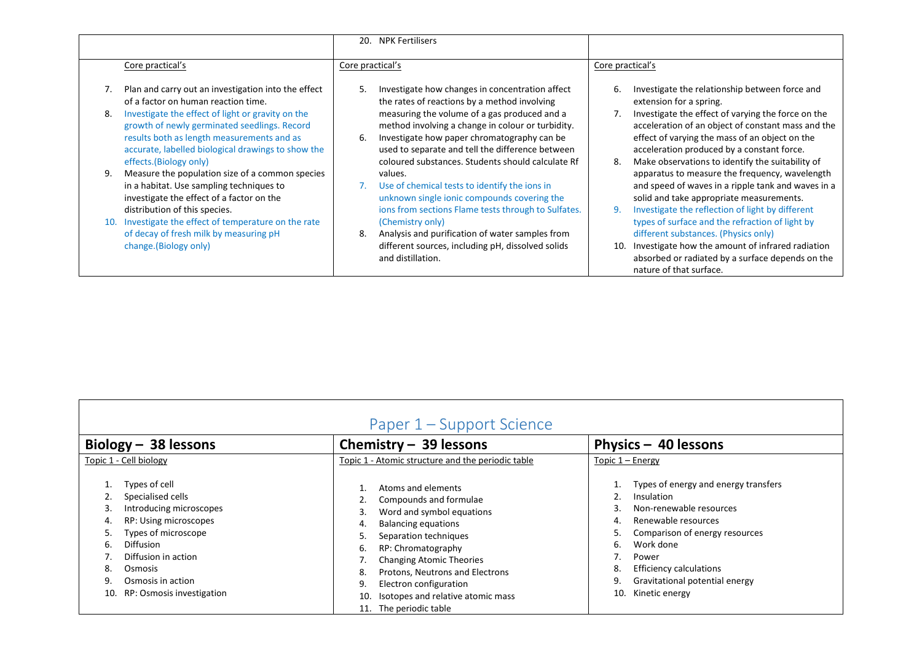|    |                                                                                                                                                                                                                                                                                                                              | 20. NPK Fertilisers                                                                                                                                                                                                                                                                                                                                                      |                                                                                                                                                                                                                                                                                                                                                                                                                                                                                               |
|----|------------------------------------------------------------------------------------------------------------------------------------------------------------------------------------------------------------------------------------------------------------------------------------------------------------------------------|--------------------------------------------------------------------------------------------------------------------------------------------------------------------------------------------------------------------------------------------------------------------------------------------------------------------------------------------------------------------------|-----------------------------------------------------------------------------------------------------------------------------------------------------------------------------------------------------------------------------------------------------------------------------------------------------------------------------------------------------------------------------------------------------------------------------------------------------------------------------------------------|
|    | Core practical's                                                                                                                                                                                                                                                                                                             | Core practical's                                                                                                                                                                                                                                                                                                                                                         | Core practical's                                                                                                                                                                                                                                                                                                                                                                                                                                                                              |
| 8. | Plan and carry out an investigation into the effect<br>of a factor on human reaction time.<br>Investigate the effect of light or gravity on the<br>growth of newly germinated seedlings. Record<br>results both as length measurements and as<br>accurate, labelled biological drawings to show the                          | Investigate how changes in concentration affect<br>5.<br>the rates of reactions by a method involving<br>measuring the volume of a gas produced and a<br>method involving a change in colour or turbidity.<br>Investigate how paper chromatography can be<br>6.<br>used to separate and tell the difference between<br>coloured substances. Students should calculate Rf | Investigate the relationship between force and<br>6.<br>extension for a spring.<br>Investigate the effect of varying the force on the<br>acceleration of an object of constant mass and the<br>effect of varying the mass of an object on the<br>acceleration produced by a constant force.                                                                                                                                                                                                   |
|    | effects.(Biology only)<br>Measure the population size of a common species<br>in a habitat. Use sampling techniques to<br>investigate the effect of a factor on the<br>distribution of this species.<br>Investigate the effect of temperature on the rate<br>of decay of fresh milk by measuring pH<br>change. (Biology only) | values.<br>Use of chemical tests to identify the ions in<br>unknown single ionic compounds covering the<br>ions from sections Flame tests through to Sulfates.<br>(Chemistry only)<br>Analysis and purification of water samples from<br>8.<br>different sources, including pH, dissolved solids<br>and distillation.                                                    | Make observations to identify the suitability of<br>apparatus to measure the frequency, wavelength<br>and speed of waves in a ripple tank and waves in a<br>solid and take appropriate measurements.<br>Investigate the reflection of light by different<br>types of surface and the refraction of light by<br>different substances. (Physics only)<br>Investigate how the amount of infrared radiation<br>10.<br>absorbed or radiated by a surface depends on the<br>nature of that surface. |

<span id="page-29-0"></span>

| Paper 1 – Support Science                                                                                                                                                                                                                           |                                                                                                                                                                                                                                                                                                                                                              |                                                                                                                                                                                                                                                                                               |  |
|-----------------------------------------------------------------------------------------------------------------------------------------------------------------------------------------------------------------------------------------------------|--------------------------------------------------------------------------------------------------------------------------------------------------------------------------------------------------------------------------------------------------------------------------------------------------------------------------------------------------------------|-----------------------------------------------------------------------------------------------------------------------------------------------------------------------------------------------------------------------------------------------------------------------------------------------|--|
| Biology $-$ 38 lessons                                                                                                                                                                                                                              | Chemistry $-$ 39 lessons                                                                                                                                                                                                                                                                                                                                     | Physics - 40 lessons                                                                                                                                                                                                                                                                          |  |
| Topic 1 - Cell biology                                                                                                                                                                                                                              | Topic 1 - Atomic structure and the periodic table                                                                                                                                                                                                                                                                                                            | Topic $1 -$ Energy                                                                                                                                                                                                                                                                            |  |
| Types of cell<br>Specialised cells<br>Introducing microscopes<br>3.<br>RP: Using microscopes<br>Types of microscope<br><b>Diffusion</b><br>6.<br>Diffusion in action<br>8.<br>Osmosis<br>Osmosis in action<br>9<br>RP: Osmosis investigation<br>10. | Atoms and elements<br>Compounds and formulae<br>Word and symbol equations<br>3.<br><b>Balancing equations</b><br>4.<br>Separation techniques<br>5.<br>RP: Chromatography<br>6.<br><b>Changing Atomic Theories</b><br>Protons, Neutrons and Electrons<br>8.<br>Electron configuration<br>9.<br>Isotopes and relative atomic mass<br>10.<br>The periodic table | Types of energy and energy transfers<br>Insulation<br>Non-renewable resources<br>3.<br>Renewable resources<br>4.<br>Comparison of energy resources<br>5.<br>Work done<br>6.<br>Power<br><b>Efficiency calculations</b><br>8.<br>Gravitational potential energy<br>9.<br>Kinetic energy<br>10. |  |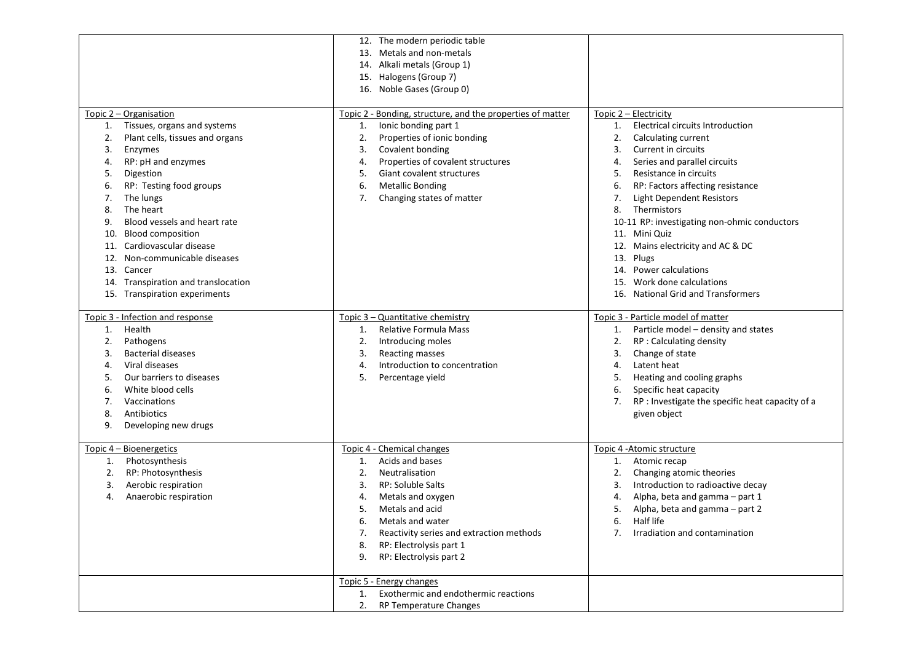|                                                  | 12. The modern periodic table<br>13. Metals and non-metals      |                                                                                 |
|--------------------------------------------------|-----------------------------------------------------------------|---------------------------------------------------------------------------------|
|                                                  | 14. Alkali metals (Group 1)                                     |                                                                                 |
|                                                  | 15. Halogens (Group 7)                                          |                                                                                 |
|                                                  | 16. Noble Gases (Group 0)                                       |                                                                                 |
| Topic 2 - Organisation                           | Topic 2 - Bonding, structure, and the properties of matter      | Topic 2 – Electricity                                                           |
| Tissues, organs and systems<br>1.                | Ionic bonding part 1<br>1.                                      | <b>Electrical circuits Introduction</b><br>1.                                   |
| Plant cells, tissues and organs<br>2.            | 2.<br>Properties of ionic bonding                               | 2.<br>Calculating current                                                       |
| Enzymes<br>3.                                    | Covalent bonding<br>3.                                          | Current in circuits<br>3.                                                       |
| RP: pH and enzymes<br>4.                         | Properties of covalent structures<br>4.                         | Series and parallel circuits<br>4.                                              |
| Digestion<br>5.                                  | Giant covalent structures<br>5.                                 | Resistance in circuits<br>5.                                                    |
| RP: Testing food groups<br>6.                    | <b>Metallic Bonding</b><br>6.                                   | 6.<br>RP: Factors affecting resistance                                          |
| The lungs<br>7.                                  | 7.<br>Changing states of matter                                 | Light Dependent Resistors<br>7.                                                 |
| The heart<br>8.                                  |                                                                 | Thermistors<br>8.                                                               |
| Blood vessels and heart rate<br>9.               |                                                                 | 10-11 RP: investigating non-ohmic conductors                                    |
| <b>Blood composition</b><br>10.                  |                                                                 | 11. Mini Quiz                                                                   |
| Cardiovascular disease<br>11.                    |                                                                 | 12. Mains electricity and AC & DC                                               |
| Non-communicable diseases<br>12.                 |                                                                 | Plugs<br>13.                                                                    |
| Cancer<br>13.                                    |                                                                 | Power calculations<br>14.                                                       |
| Transpiration and translocation<br>14.           |                                                                 | Work done calculations<br>15.                                                   |
| 15. Transpiration experiments                    |                                                                 | <b>National Grid and Transformers</b><br>16.                                    |
|                                                  |                                                                 |                                                                                 |
| Topic 3 - Infection and response<br>Health<br>1. | Topic 3 - Quantitative chemistry<br>Relative Formula Mass<br>1. | Topic 3 - Particle model of matter<br>Particle model - density and states<br>1. |
| 2.<br>Pathogens                                  | 2.                                                              | RP : Calculating density<br>2.                                                  |
| <b>Bacterial diseases</b><br>3.                  | Introducing moles<br>Reacting masses<br>3.                      | Change of state<br>3.                                                           |
| Viral diseases<br>4.                             | Introduction to concentration<br>4.                             | Latent heat<br>4.                                                               |
| Our barriers to diseases<br>5.                   | 5.<br>Percentage yield                                          | Heating and cooling graphs<br>5.                                                |
| White blood cells<br>6.                          |                                                                 | Specific heat capacity<br>6.                                                    |
| Vaccinations<br>7.                               |                                                                 | RP : Investigate the specific heat capacity of a<br>7.                          |
| Antibiotics<br>8.                                |                                                                 | given object                                                                    |
| 9.<br>Developing new drugs                       |                                                                 |                                                                                 |
|                                                  |                                                                 |                                                                                 |
| Topic 4 - Bioenergetics                          | Topic 4 - Chemical changes                                      | Topic 4 - Atomic structure                                                      |
| Photosynthesis<br>1.                             | Acids and bases<br>1.                                           | Atomic recap<br>1.                                                              |
| RP: Photosynthesis<br>2.                         | Neutralisation<br>2.                                            | Changing atomic theories<br>2.                                                  |
| Aerobic respiration<br>3.                        | <b>RP: Soluble Salts</b><br>3.                                  | Introduction to radioactive decay<br>3.                                         |
| Anaerobic respiration<br>4.                      | Metals and oxygen<br>4.                                         | Alpha, beta and gamma - part 1<br>4.                                            |
|                                                  | Metals and acid<br>5.                                           | Alpha, beta and gamma - part 2<br>5.                                            |
|                                                  | 6.<br>Metals and water                                          | 6.<br>Half life                                                                 |
|                                                  | Reactivity series and extraction methods<br>7.                  | Irradiation and contamination<br>7.                                             |
|                                                  | RP: Electrolysis part 1<br>8.                                   |                                                                                 |
|                                                  | RP: Electrolysis part 2<br>9.                                   |                                                                                 |
|                                                  | Topic 5 - Energy changes                                        |                                                                                 |
|                                                  | Exothermic and endothermic reactions<br>1.                      |                                                                                 |
|                                                  | RP Temperature Changes<br>2.                                    |                                                                                 |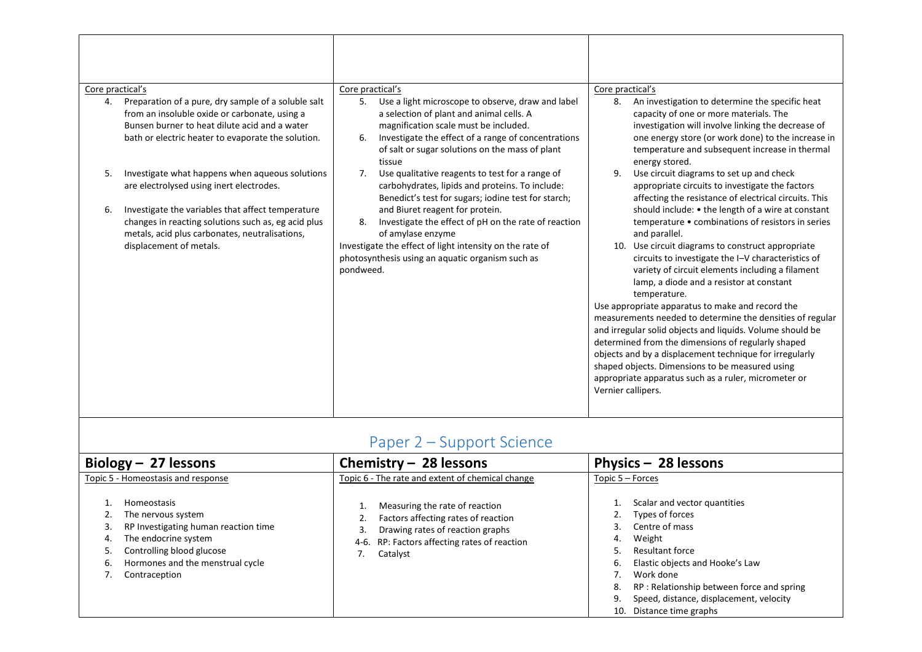| Core practical's<br>Preparation of a pure, dry sample of a soluble salt<br>4.<br>from an insoluble oxide or carbonate, using a<br>Bunsen burner to heat dilute acid and a water<br>bath or electric heater to evaporate the solution.<br>Investigate what happens when aqueous solutions<br>5.<br>are electrolysed using inert electrodes.<br>Investigate the variables that affect temperature<br>6.<br>changes in reacting solutions such as, eg acid plus<br>metals, acid plus carbonates, neutralisations,<br>displacement of metals. | Core practical's<br>Use a light microscope to observe, draw and label<br>5.<br>a selection of plant and animal cells. A<br>magnification scale must be included.<br>Investigate the effect of a range of concentrations<br>6.<br>of salt or sugar solutions on the mass of plant<br>tissue<br>Use qualitative reagents to test for a range of<br>7.<br>carbohydrates, lipids and proteins. To include:<br>Benedict's test for sugars; iodine test for starch;<br>and Biuret reagent for protein.<br>Investigate the effect of pH on the rate of reaction<br>8.<br>of amylase enzyme<br>Investigate the effect of light intensity on the rate of<br>photosynthesis using an aquatic organism such as<br>pondweed. | Core practical's<br>An investigation to determine the specific heat<br>8.<br>capacity of one or more materials. The<br>investigation will involve linking the decrease of<br>one energy store (or work done) to the increase in<br>temperature and subsequent increase in thermal<br>energy stored.<br>Use circuit diagrams to set up and check<br>9.<br>appropriate circuits to investigate the factors<br>affecting the resistance of electrical circuits. This<br>should include: • the length of a wire at constant<br>temperature • combinations of resistors in series<br>and parallel.<br>10. Use circuit diagrams to construct appropriate<br>circuits to investigate the I-V characteristics of<br>variety of circuit elements including a filament<br>lamp, a diode and a resistor at constant<br>temperature.<br>Use appropriate apparatus to make and record the<br>measurements needed to determine the densities of regular<br>and irregular solid objects and liquids. Volume should be<br>determined from the dimensions of regularly shaped<br>objects and by a displacement technique for irregularly<br>shaped objects. Dimensions to be measured using<br>appropriate apparatus such as a ruler, micrometer or<br>Vernier callipers. |
|-------------------------------------------------------------------------------------------------------------------------------------------------------------------------------------------------------------------------------------------------------------------------------------------------------------------------------------------------------------------------------------------------------------------------------------------------------------------------------------------------------------------------------------------|------------------------------------------------------------------------------------------------------------------------------------------------------------------------------------------------------------------------------------------------------------------------------------------------------------------------------------------------------------------------------------------------------------------------------------------------------------------------------------------------------------------------------------------------------------------------------------------------------------------------------------------------------------------------------------------------------------------|----------------------------------------------------------------------------------------------------------------------------------------------------------------------------------------------------------------------------------------------------------------------------------------------------------------------------------------------------------------------------------------------------------------------------------------------------------------------------------------------------------------------------------------------------------------------------------------------------------------------------------------------------------------------------------------------------------------------------------------------------------------------------------------------------------------------------------------------------------------------------------------------------------------------------------------------------------------------------------------------------------------------------------------------------------------------------------------------------------------------------------------------------------------------------------------------------------------------------------------------------------|

# Paper 2 – Support Science

<span id="page-31-0"></span>

|          | Biology $-27$ lessons                                                                                                                                                | Chemistry $-$ 28 lessons                                                                                                                                              | Physics - 28 lessons                                                                                                                                                                                                                                                    |
|----------|----------------------------------------------------------------------------------------------------------------------------------------------------------------------|-----------------------------------------------------------------------------------------------------------------------------------------------------------------------|-------------------------------------------------------------------------------------------------------------------------------------------------------------------------------------------------------------------------------------------------------------------------|
|          | Topic 5 - Homeostasis and response<br><b>Homeostasis</b>                                                                                                             | Topic 6 - The rate and extent of chemical change                                                                                                                      | Topic 5 - Forces<br>Scalar and vector quantities                                                                                                                                                                                                                        |
| 4.<br>ь. | The nervous system<br>RP Investigating human reaction time<br>The endocrine system<br>Controlling blood glucose<br>Hormones and the menstrual cycle<br>Contraception | Measuring the rate of reaction<br>Factors affecting rates of reaction<br>Drawing rates of reaction graphs<br>4-6. RP: Factors affecting rates of reaction<br>Catalyst | Types of forces<br>2.<br>Centre of mass<br>Weight<br>4.<br><b>Resultant force</b><br>Elastic objects and Hooke's Law<br>6.<br>Work done<br>RP: Relationship between force and spring<br>8.<br>Speed, distance, displacement, velocity<br>9.<br>10. Distance time graphs |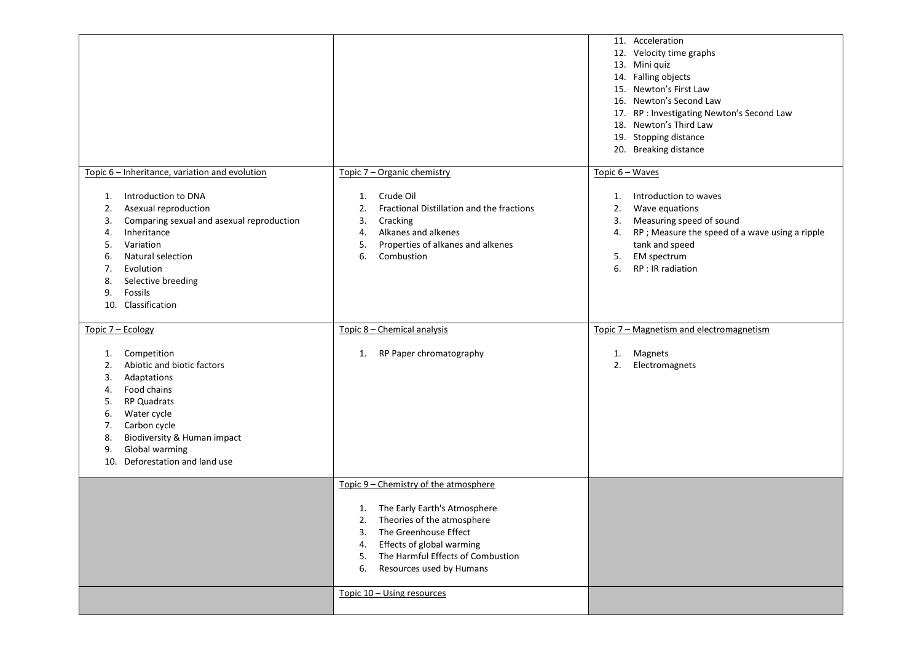|                                                                                                                                                                                                                                                                                                                       |                                                                                                                                                                                                                                                                | 11. Acceleration<br>12. Velocity time graphs<br>13. Mini quiz<br>14. Falling objects<br>15. Newton's First Law<br>16. Newton's Second Law<br>17. RP : Investigating Newton's Second Law<br>18. Newton's Third Law<br>19. Stopping distance<br>20. Breaking distance |
|-----------------------------------------------------------------------------------------------------------------------------------------------------------------------------------------------------------------------------------------------------------------------------------------------------------------------|----------------------------------------------------------------------------------------------------------------------------------------------------------------------------------------------------------------------------------------------------------------|---------------------------------------------------------------------------------------------------------------------------------------------------------------------------------------------------------------------------------------------------------------------|
| Topic 6 - Inheritance, variation and evolution<br>Introduction to DNA<br>1.<br>Asexual reproduction<br>2.<br>Comparing sexual and asexual reproduction<br>3.<br>Inheritance<br>4.<br>Variation<br>5.<br>Natural selection<br>6.<br>Evolution<br>7.<br>Selective breeding<br>8.<br>Fossils<br>9.<br>10. Classification | Topic 7 - Organic chemistry<br>Crude Oil<br>1.<br>Fractional Distillation and the fractions<br>2.<br>3.<br>Cracking<br>Alkanes and alkenes<br>4.<br>Properties of alkanes and alkenes<br>5.<br>6.<br>Combustion                                                | Topic 6 - Waves<br>Introduction to waves<br>1.<br>Wave equations<br>2.<br>Measuring speed of sound<br>3.<br>RP ; Measure the speed of a wave using a ripple<br>4.<br>tank and speed<br>EM spectrum<br>5.<br>RP : IR radiation<br>6.                                 |
| Topic 7 - Ecology<br>Competition<br>1.<br>Abiotic and biotic factors<br>2.<br>Adaptations<br>3.<br>Food chains<br>4.<br>RP Quadrats<br>5.<br>Water cycle<br>6.<br>Carbon cycle<br>7.<br>Biodiversity & Human impact<br>8.<br>Global warming<br>9.<br>Deforestation and land use<br>10.                                | Topic 8 - Chemical analysis<br>RP Paper chromatography<br>1.                                                                                                                                                                                                   | Topic 7 - Magnetism and electromagnetism<br>Magnets<br>1.<br>2.<br>Electromagnets                                                                                                                                                                                   |
|                                                                                                                                                                                                                                                                                                                       | Topic 9 - Chemistry of the atmosphere<br>The Early Earth's Atmosphere<br>1.<br>Theories of the atmosphere<br>2.<br>The Greenhouse Effect<br>3.<br>Effects of global warming<br>4.<br>The Harmful Effects of Combustion<br>5.<br>Resources used by Humans<br>6. |                                                                                                                                                                                                                                                                     |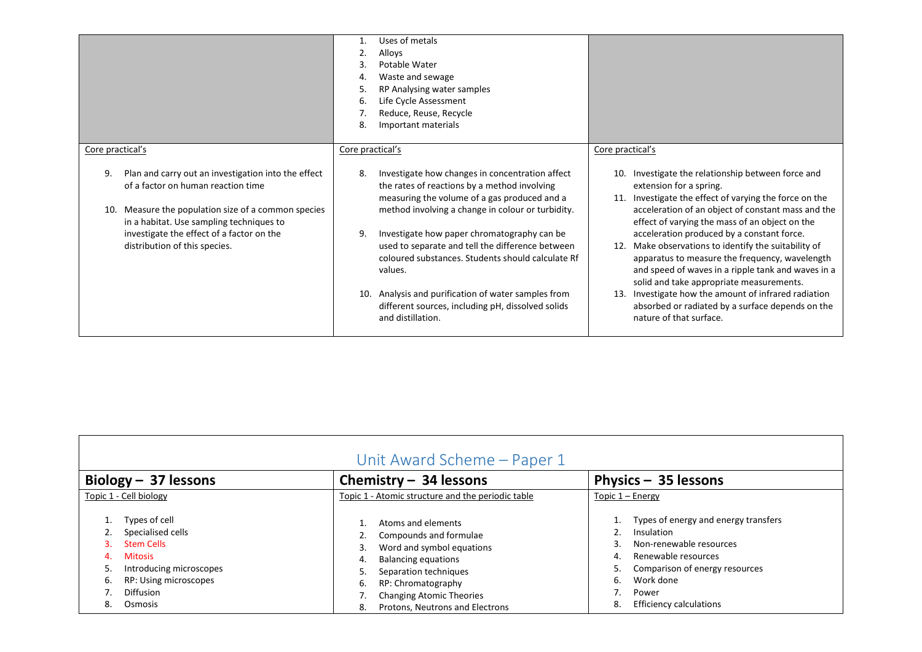|                                                                                                                                                                                                                                                                                  | Uses of metals<br>2.<br>Alloys<br>3<br>Potable Water<br>Waste and sewage<br>4.<br>RP Analysing water samples<br>.5<br>Life Cycle Assessment<br>6.<br>Reduce, Reuse, Recycle<br>Important materials<br>8.                                                                                                                                                                                                                                                                                                             |                                                                                                                                                                                                                                                                                                                                                                                                                                                                                                                                                                                                                                                       |
|----------------------------------------------------------------------------------------------------------------------------------------------------------------------------------------------------------------------------------------------------------------------------------|----------------------------------------------------------------------------------------------------------------------------------------------------------------------------------------------------------------------------------------------------------------------------------------------------------------------------------------------------------------------------------------------------------------------------------------------------------------------------------------------------------------------|-------------------------------------------------------------------------------------------------------------------------------------------------------------------------------------------------------------------------------------------------------------------------------------------------------------------------------------------------------------------------------------------------------------------------------------------------------------------------------------------------------------------------------------------------------------------------------------------------------------------------------------------------------|
| Core practical's                                                                                                                                                                                                                                                                 | Core practical's                                                                                                                                                                                                                                                                                                                                                                                                                                                                                                     | Core practical's                                                                                                                                                                                                                                                                                                                                                                                                                                                                                                                                                                                                                                      |
| Plan and carry out an investigation into the effect<br>9.<br>of a factor on human reaction time<br>10. Measure the population size of a common species<br>in a habitat. Use sampling techniques to<br>investigate the effect of a factor on the<br>distribution of this species. | 8.<br>Investigate how changes in concentration affect<br>the rates of reactions by a method involving<br>measuring the volume of a gas produced and a<br>method involving a change in colour or turbidity.<br>Investigate how paper chromatography can be<br>9.<br>used to separate and tell the difference between<br>coloured substances. Students should calculate Rf<br>values.<br>10. Analysis and purification of water samples from<br>different sources, including pH, dissolved solids<br>and distillation. | Investigate the relationship between force and<br>10.<br>extension for a spring.<br>Investigate the effect of varying the force on the<br>11.<br>acceleration of an object of constant mass and the<br>effect of varying the mass of an object on the<br>acceleration produced by a constant force.<br>Make observations to identify the suitability of<br>apparatus to measure the frequency, wavelength<br>and speed of waves in a ripple tank and waves in a<br>solid and take appropriate measurements.<br>Investigate how the amount of infrared radiation<br>13.<br>absorbed or radiated by a surface depends on the<br>nature of that surface. |

<span id="page-33-0"></span>

| Unit Award Scheme - Paper 1                                                                                                                                             |                                                                                                                                                                                                                                                            |                                                                                                                                                                                                                        |  |
|-------------------------------------------------------------------------------------------------------------------------------------------------------------------------|------------------------------------------------------------------------------------------------------------------------------------------------------------------------------------------------------------------------------------------------------------|------------------------------------------------------------------------------------------------------------------------------------------------------------------------------------------------------------------------|--|
| Biology $-$ 37 lessons                                                                                                                                                  | Chemistry $-$ 34 lessons                                                                                                                                                                                                                                   | Physics $-$ 35 lessons                                                                                                                                                                                                 |  |
| Topic 1 - Cell biology                                                                                                                                                  | Topic 1 - Atomic structure and the periodic table                                                                                                                                                                                                          | Topic $1 -$ Energy                                                                                                                                                                                                     |  |
| Types of cell<br>Specialised cells<br><b>Stem Cells</b><br>3.<br><b>Mitosis</b><br>Introducing microscopes<br>RP: Using microscopes<br>6.<br>Diffusion<br>Osmosis<br>8. | Atoms and elements<br>Compounds and formulae<br>Word and symbol equations<br>3.<br><b>Balancing equations</b><br>4.<br>Separation techniques<br>5.<br>RP: Chromatography<br>6.<br><b>Changing Atomic Theories</b><br>Protons. Neutrons and Electrons<br>8. | Types of energy and energy transfers<br>Insulation<br>Non-renewable resources<br>3.<br>Renewable resources<br>4.<br>Comparison of energy resources<br>Work done<br>6.<br>Power<br>8.<br><b>Efficiency calculations</b> |  |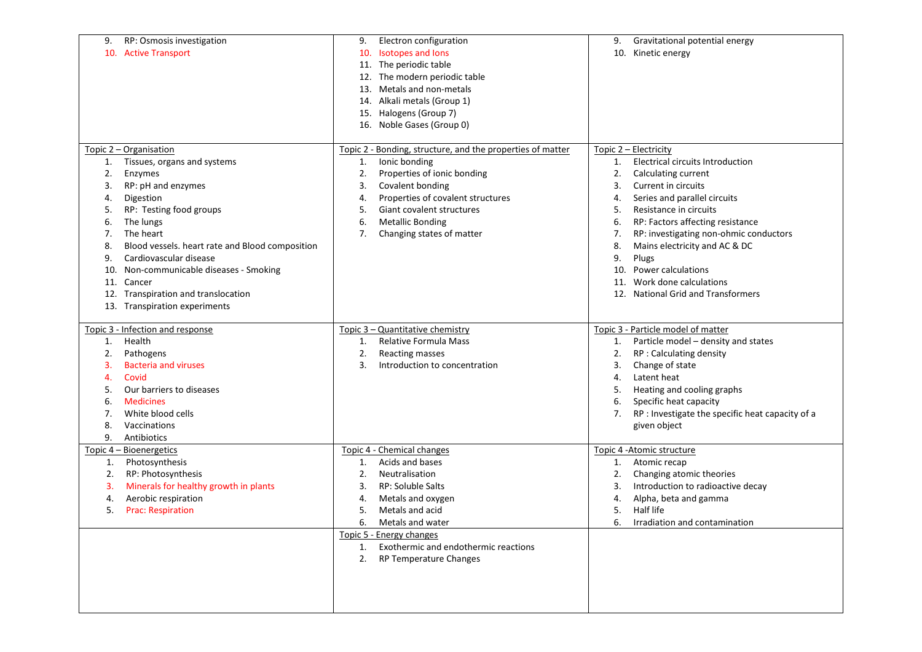| RP: Osmosis investigation<br>9.                       | Electron configuration<br>9.                               | Gravitational potential energy<br>9.                   |
|-------------------------------------------------------|------------------------------------------------------------|--------------------------------------------------------|
| 10. Active Transport                                  | 10. Isotopes and lons                                      | 10. Kinetic energy                                     |
|                                                       | 11. The periodic table                                     |                                                        |
|                                                       | 12. The modern periodic table                              |                                                        |
|                                                       | 13. Metals and non-metals                                  |                                                        |
|                                                       | 14. Alkali metals (Group 1)                                |                                                        |
|                                                       | 15. Halogens (Group 7)                                     |                                                        |
|                                                       | 16. Noble Gases (Group 0)                                  |                                                        |
|                                                       |                                                            |                                                        |
| Topic 2 - Organisation                                | Topic 2 - Bonding, structure, and the properties of matter | Topic 2 – Electricity                                  |
| Tissues, organs and systems<br>1.                     | Ionic bonding<br>1.                                        | <b>Electrical circuits Introduction</b><br>1.          |
| 2.<br>Enzymes                                         | Properties of ionic bonding<br>2.                          | 2.<br>Calculating current                              |
| RP: pH and enzymes<br>3.                              | Covalent bonding<br>3.                                     | 3.<br>Current in circuits                              |
| Digestion<br>4.                                       | Properties of covalent structures<br>4.                    | Series and parallel circuits<br>4.                     |
| RP: Testing food groups<br>5.                         | 5.<br>Giant covalent structures                            | 5.<br>Resistance in circuits                           |
| The lungs<br>6.                                       | <b>Metallic Bonding</b><br>6.                              | RP: Factors affecting resistance<br>6.                 |
| The heart<br>7.                                       | Changing states of matter<br>7.                            | RP: investigating non-ohmic conductors<br>7.           |
| 8.<br>Blood vessels. heart rate and Blood composition |                                                            | Mains electricity and AC & DC<br>8.                    |
| Cardiovascular disease<br>9.                          |                                                            | 9.<br>Plugs                                            |
| Non-communicable diseases - Smoking<br>10.            |                                                            | <b>Power calculations</b><br>10.                       |
| Cancer<br>11.                                         |                                                            | Work done calculations<br>11.                          |
| 12. Transpiration and translocation                   |                                                            | <b>National Grid and Transformers</b><br>12.           |
| 13. Transpiration experiments                         |                                                            |                                                        |
|                                                       |                                                            |                                                        |
|                                                       |                                                            |                                                        |
|                                                       |                                                            |                                                        |
| Topic 3 - Infection and response                      | Topic 3 - Quantitative chemistry                           | Topic 3 - Particle model of matter                     |
| Health<br>1.                                          | Relative Formula Mass<br>1.                                | Particle model - density and states<br>1.              |
| Pathogens<br>2.                                       | 2.<br><b>Reacting masses</b>                               | RP : Calculating density<br>2.                         |
| <b>Bacteria and viruses</b><br>з.                     | Introduction to concentration<br>3.                        | Change of state<br>3.                                  |
| Covid<br>4.                                           |                                                            | Latent heat<br>4.                                      |
| Our barriers to diseases<br>5.                        |                                                            | Heating and cooling graphs<br>5.                       |
| <b>Medicines</b><br>6.                                |                                                            | Specific heat capacity<br>6.                           |
| White blood cells<br>7.                               |                                                            | RP : Investigate the specific heat capacity of a<br>7. |
| Vaccinations<br>8.                                    |                                                            | given object                                           |
| Antibiotics<br>9.                                     |                                                            |                                                        |
| Topic 4 - Bioenergetics                               | Topic 4 - Chemical changes                                 | Topic 4 - Atomic structure                             |
| Photosynthesis<br>1.                                  | Acids and bases<br>1.                                      | Atomic recap<br>1.                                     |
| RP: Photosynthesis<br>2.                              | Neutralisation<br>2.                                       | 2.<br>Changing atomic theories                         |
| Minerals for healthy growth in plants<br>з.           | <b>RP: Soluble Salts</b><br>3.                             | Introduction to radioactive decay<br>3.                |
| Aerobic respiration<br>4.                             | Metals and oxygen<br>4.                                    | Alpha, beta and gamma<br>4.                            |
| <b>Prac: Respiration</b><br>5.                        | Metals and acid<br>5.                                      | Half life<br>5.                                        |
|                                                       | 6.<br>Metals and water                                     | 6.<br>Irradiation and contamination                    |
|                                                       | Topic 5 - Energy changes                                   |                                                        |
|                                                       | 1. Exothermic and endothermic reactions                    |                                                        |
|                                                       | 2. RP Temperature Changes                                  |                                                        |
|                                                       |                                                            |                                                        |
|                                                       |                                                            |                                                        |
|                                                       |                                                            |                                                        |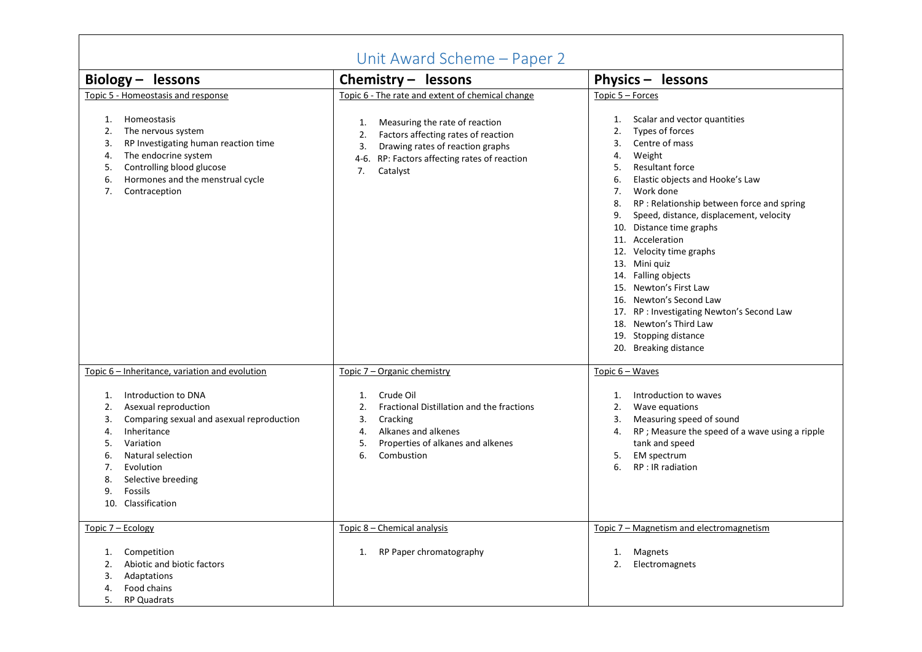| Unit Award Scheme - Paper 2                                                                                                                                                                                                                                                                                                  |                                                                                                                                                                                                                                                   |                                                                                                                                                                                                                                                                                                                                                                                                                                                                                                                                                                                                                             |  |
|------------------------------------------------------------------------------------------------------------------------------------------------------------------------------------------------------------------------------------------------------------------------------------------------------------------------------|---------------------------------------------------------------------------------------------------------------------------------------------------------------------------------------------------------------------------------------------------|-----------------------------------------------------------------------------------------------------------------------------------------------------------------------------------------------------------------------------------------------------------------------------------------------------------------------------------------------------------------------------------------------------------------------------------------------------------------------------------------------------------------------------------------------------------------------------------------------------------------------------|--|
| Biology - lessons                                                                                                                                                                                                                                                                                                            | Chemistry $-$ lessons                                                                                                                                                                                                                             | Physics - lessons                                                                                                                                                                                                                                                                                                                                                                                                                                                                                                                                                                                                           |  |
| Topic 5 - Homeostasis and response<br>Homeostasis<br>1.<br>2.<br>The nervous system<br>RP Investigating human reaction time<br>3.<br>The endocrine system<br>4.<br>Controlling blood glucose<br>5.<br>Hormones and the menstrual cycle<br>6.<br>7.<br>Contraception                                                          | Topic 6 - The rate and extent of chemical change<br>Measuring the rate of reaction<br>1.<br>Factors affecting rates of reaction<br>2.<br>Drawing rates of reaction graphs<br>3.<br>4-6. RP: Factors affecting rates of reaction<br>Catalyst<br>7. | Topic 5 - Forces<br>Scalar and vector quantities<br>1.<br>Types of forces<br>2.<br>Centre of mass<br>3.<br>Weight<br>4.<br><b>Resultant force</b><br>5.<br>Elastic objects and Hooke's Law<br>6.<br>Work done<br>7.<br>RP : Relationship between force and spring<br>8.<br>Speed, distance, displacement, velocity<br>9.<br>10. Distance time graphs<br>11. Acceleration<br>12. Velocity time graphs<br>13. Mini quiz<br>14. Falling objects<br>15. Newton's First Law<br>16. Newton's Second Law<br>17. RP : Investigating Newton's Second Law<br>18. Newton's Third Law<br>19. Stopping distance<br>20. Breaking distance |  |
| Topic 6 – Inheritance, variation and evolution<br>Introduction to DNA<br>1.<br>Asexual reproduction<br>2.<br>Comparing sexual and asexual reproduction<br>3.<br>Inheritance<br>4.<br>Variation<br>5.<br>Natural selection<br>6.<br>Evolution<br>7.<br>8.<br>Selective breeding<br><b>Fossils</b><br>9.<br>10. Classification | Topic 7 – Organic chemistry<br>Crude Oil<br>1.<br>Fractional Distillation and the fractions<br>2.<br>Cracking<br>3.<br>Alkanes and alkenes<br>4.<br>Properties of alkanes and alkenes<br>5.<br>6.<br>Combustion                                   | Topic $6 - Waves$<br>Introduction to waves<br>1.<br>Wave equations<br>2.<br>Measuring speed of sound<br>3.<br>RP; Measure the speed of a wave using a ripple<br>4.<br>tank and speed<br>5.<br><b>EM</b> spectrum<br>RP : IR radiation<br>6.                                                                                                                                                                                                                                                                                                                                                                                 |  |
| Topic 7 - Ecology<br>Competition<br>1.<br>Abiotic and biotic factors<br>2.<br>Adaptations<br>3.<br>Food chains<br>4.<br>5.<br><b>RP Quadrats</b>                                                                                                                                                                             | Topic 8 - Chemical analysis<br>RP Paper chromatography<br>1.                                                                                                                                                                                      | Topic 7 - Magnetism and electromagnetism<br><b>Magnets</b><br>1.<br>2.<br>Electromagnets                                                                                                                                                                                                                                                                                                                                                                                                                                                                                                                                    |  |

 $\Gamma$